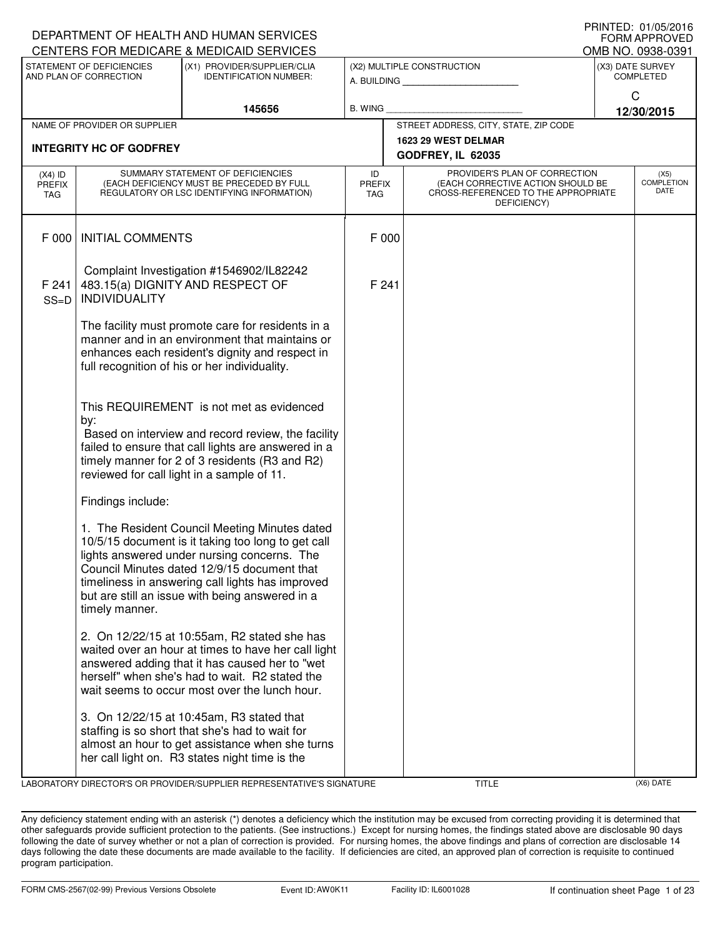|                            |                                                                                                                                                                                                                                                              | DEPARTMENT OF HEALTH AND HUMAN SERVICES                                                                                                                                                                                                                                                                  |         |                      |                                                                                                                          |                   | <b>FORM APPROVED</b>                     |  |
|----------------------------|--------------------------------------------------------------------------------------------------------------------------------------------------------------------------------------------------------------------------------------------------------------|----------------------------------------------------------------------------------------------------------------------------------------------------------------------------------------------------------------------------------------------------------------------------------------------------------|---------|----------------------|--------------------------------------------------------------------------------------------------------------------------|-------------------|------------------------------------------|--|
|                            |                                                                                                                                                                                                                                                              | CENTERS FOR MEDICARE & MEDICAID SERVICES                                                                                                                                                                                                                                                                 |         |                      |                                                                                                                          | OMB NO. 0938-0391 |                                          |  |
|                            | STATEMENT OF DEFICIENCIES<br>AND PLAN OF CORRECTION                                                                                                                                                                                                          | (X1) PROVIDER/SUPPLIER/CLIA<br><b>IDENTIFICATION NUMBER:</b>                                                                                                                                                                                                                                             |         |                      | (X2) MULTIPLE CONSTRUCTION                                                                                               |                   | (X3) DATE SURVEY<br><b>COMPLETED</b>     |  |
|                            |                                                                                                                                                                                                                                                              | 145656                                                                                                                                                                                                                                                                                                   | B. WING |                      |                                                                                                                          |                   | C<br>12/30/2015                          |  |
|                            | NAME OF PROVIDER OR SUPPLIER                                                                                                                                                                                                                                 |                                                                                                                                                                                                                                                                                                          |         |                      | STREET ADDRESS, CITY, STATE, ZIP CODE                                                                                    |                   |                                          |  |
|                            | <b>INTEGRITY HC OF GODFREY</b>                                                                                                                                                                                                                               |                                                                                                                                                                                                                                                                                                          |         |                      | 1623 29 WEST DELMAR<br>GODFREY, IL 62035                                                                                 |                   |                                          |  |
| $(X4)$ ID<br>PREFIX<br>TAG | SUMMARY STATEMENT OF DEFICIENCIES<br>(EACH DEFICIENCY MUST BE PRECEDED BY FULL<br>REGULATORY OR LSC IDENTIFYING INFORMATION)                                                                                                                                 |                                                                                                                                                                                                                                                                                                          |         | <b>PREFIX</b><br>TAG | PROVIDER'S PLAN OF CORRECTION<br>(EACH CORRECTIVE ACTION SHOULD BE<br>CROSS-REFERENCED TO THE APPROPRIATE<br>DEFICIENCY) |                   | (X5)<br><b>COMPLETION</b><br><b>DATE</b> |  |
| F 000                      | <b>INITIAL COMMENTS</b>                                                                                                                                                                                                                                      |                                                                                                                                                                                                                                                                                                          | F 000   |                      |                                                                                                                          |                   |                                          |  |
| F 241<br>$SS=D$            | Complaint Investigation #1546902/IL82242<br>483.15(a) DIGNITY AND RESPECT OF<br><b>INDIVIDUALITY</b>                                                                                                                                                         |                                                                                                                                                                                                                                                                                                          | F 241   |                      |                                                                                                                          |                   |                                          |  |
|                            | The facility must promote care for residents in a<br>manner and in an environment that maintains or<br>enhances each resident's dignity and respect in<br>full recognition of his or her individuality.                                                      |                                                                                                                                                                                                                                                                                                          |         |                      |                                                                                                                          |                   |                                          |  |
|                            | This REQUIREMENT is not met as evidenced<br>by:<br>Based on interview and record review, the facility<br>failed to ensure that call lights are answered in a<br>timely manner for 2 of 3 residents (R3 and R2)<br>reviewed for call light in a sample of 11. |                                                                                                                                                                                                                                                                                                          |         |                      |                                                                                                                          |                   |                                          |  |
|                            | Findings include:                                                                                                                                                                                                                                            |                                                                                                                                                                                                                                                                                                          |         |                      |                                                                                                                          |                   |                                          |  |
|                            | timely manner.                                                                                                                                                                                                                                               | 1. The Resident Council Meeting Minutes dated<br>10/5/15 document is it taking too long to get call<br>lights answered under nursing concerns. The<br>Council Minutes dated 12/9/15 document that<br>timeliness in answering call lights has improved<br>but are still an issue with being answered in a |         |                      |                                                                                                                          |                   |                                          |  |
|                            |                                                                                                                                                                                                                                                              | 2. On 12/22/15 at 10:55am, R2 stated she has<br>waited over an hour at times to have her call light<br>answered adding that it has caused her to "wet<br>herself" when she's had to wait. R2 stated the<br>wait seems to occur most over the lunch hour.                                                 |         |                      |                                                                                                                          |                   |                                          |  |
|                            |                                                                                                                                                                                                                                                              | 3. On 12/22/15 at 10:45am, R3 stated that<br>staffing is so short that she's had to wait for<br>almost an hour to get assistance when she turns<br>her call light on. R3 states night time is the                                                                                                        |         |                      |                                                                                                                          |                   |                                          |  |

LABORATORY DIRECTOR'S OR PROVIDER/SUPPLIER REPRESENTATIVE'S SIGNATURE TITLE (X6) DATE

PRINTED: 01/05/2016

Any deficiency statement ending with an asterisk (\*) denotes a deficiency which the institution may be excused from correcting providing it is determined that other safeguards provide sufficient protection to the patients. (See instructions.) Except for nursing homes, the findings stated above are disclosable 90 days following the date of survey whether or not a plan of correction is provided. For nursing homes, the above findings and plans of correction are disclosable 14 days following the date these documents are made available to the facility. If deficiencies are cited, an approved plan of correction is requisite to continued program participation.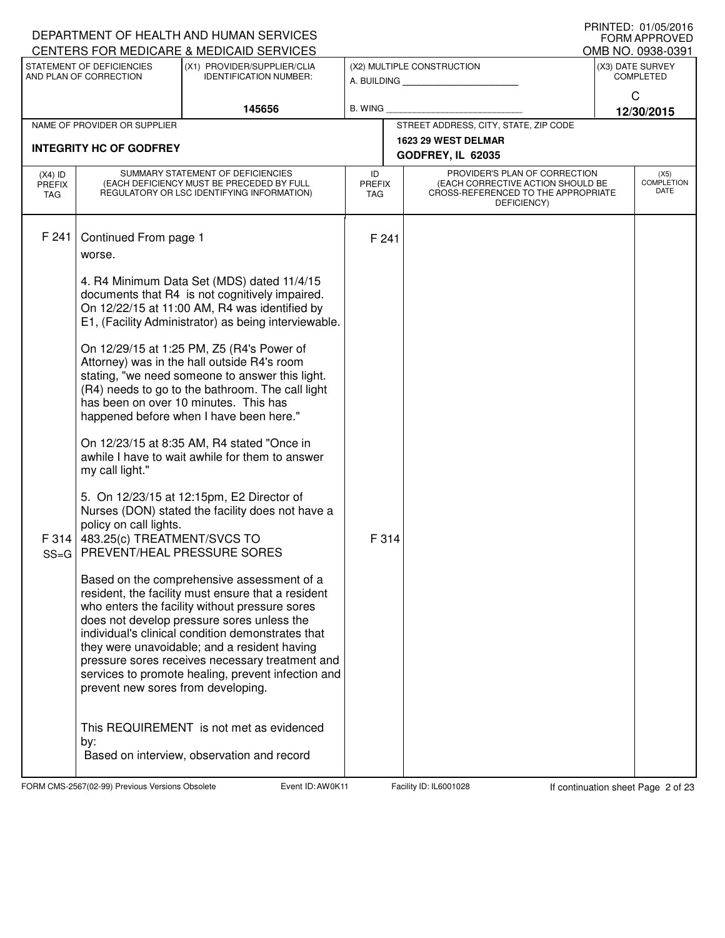| DEPARTMENT OF HEALTH AND HUMAN SERVICES<br>CENTERS FOR MEDICARE & MEDICAID SERVICES |                                                                                                                                                   | FRIIVIEU. VIIUSIZUIO<br><b>FORM APPROVED</b><br>OMB NO. 0938-0391                                                                                                                                                                                                                                                                                                                                                                                                                                                                                                                                                                                                                                                                                                                                                                                                                                                                                                                                                                                          |                                          |  |                                                                                                                          |  |                                      |  |
|-------------------------------------------------------------------------------------|---------------------------------------------------------------------------------------------------------------------------------------------------|------------------------------------------------------------------------------------------------------------------------------------------------------------------------------------------------------------------------------------------------------------------------------------------------------------------------------------------------------------------------------------------------------------------------------------------------------------------------------------------------------------------------------------------------------------------------------------------------------------------------------------------------------------------------------------------------------------------------------------------------------------------------------------------------------------------------------------------------------------------------------------------------------------------------------------------------------------------------------------------------------------------------------------------------------------|------------------------------------------|--|--------------------------------------------------------------------------------------------------------------------------|--|--------------------------------------|--|
|                                                                                     | STATEMENT OF DEFICIENCIES<br>AND PLAN OF CORRECTION                                                                                               | (X1) PROVIDER/SUPPLIER/CLIA<br><b>IDENTIFICATION NUMBER:</b>                                                                                                                                                                                                                                                                                                                                                                                                                                                                                                                                                                                                                                                                                                                                                                                                                                                                                                                                                                                               |                                          |  | (X2) MULTIPLE CONSTRUCTION<br>A. BUILDING                                                                                |  | (X3) DATE SURVEY<br><b>COMPLETED</b> |  |
|                                                                                     |                                                                                                                                                   | 145656                                                                                                                                                                                                                                                                                                                                                                                                                                                                                                                                                                                                                                                                                                                                                                                                                                                                                                                                                                                                                                                     | <b>B. WING</b>                           |  |                                                                                                                          |  | C<br>12/30/2015                      |  |
|                                                                                     | NAME OF PROVIDER OR SUPPLIER                                                                                                                      |                                                                                                                                                                                                                                                                                                                                                                                                                                                                                                                                                                                                                                                                                                                                                                                                                                                                                                                                                                                                                                                            |                                          |  | STREET ADDRESS, CITY, STATE, ZIP CODE                                                                                    |  |                                      |  |
|                                                                                     | <b>INTEGRITY HC OF GODFREY</b>                                                                                                                    |                                                                                                                                                                                                                                                                                                                                                                                                                                                                                                                                                                                                                                                                                                                                                                                                                                                                                                                                                                                                                                                            | 1623 29 WEST DELMAR<br>GODFREY, IL 62035 |  |                                                                                                                          |  |                                      |  |
| $(X4)$ ID<br><b>PREFIX</b><br>TAG                                                   |                                                                                                                                                   | SUMMARY STATEMENT OF DEFICIENCIES<br>(EACH DEFICIENCY MUST BE PRECEDED BY FULL<br>REGULATORY OR LSC IDENTIFYING INFORMATION)                                                                                                                                                                                                                                                                                                                                                                                                                                                                                                                                                                                                                                                                                                                                                                                                                                                                                                                               | ID<br>PREFIX<br>TAG                      |  | PROVIDER'S PLAN OF CORRECTION<br>(EACH CORRECTIVE ACTION SHOULD BE<br>CROSS-REFERENCED TO THE APPROPRIATE<br>DEFICIENCY) |  | (X5)<br><b>COMPLETION</b><br>DATE    |  |
| F 241<br>F 314                                                                      | Continued From page 1<br>worse.<br>my call light."<br>policy on call lights.<br>483.25(c) TREATMENT/SVCS TO<br>SS=G   PREVENT/HEAL PRESSURE SORES | 4. R4 Minimum Data Set (MDS) dated 11/4/15<br>documents that R4 is not cognitively impaired.<br>On 12/22/15 at 11:00 AM, R4 was identified by<br>E1, (Facility Administrator) as being interviewable.<br>On 12/29/15 at 1:25 PM, Z5 (R4's Power of<br>Attorney) was in the hall outside R4's room<br>stating, "we need someone to answer this light.<br>(R4) needs to go to the bathroom. The call light<br>has been on over 10 minutes. This has<br>happened before when I have been here."<br>On 12/23/15 at 8:35 AM, R4 stated "Once in<br>awhile I have to wait awhile for them to answer<br>5. On 12/23/15 at 12:15pm, E2 Director of<br>Nurses (DON) stated the facility does not have a<br>Based on the comprehensive assessment of a<br>resident, the facility must ensure that a resident<br>who enters the facility without pressure sores<br>does not develop pressure sores unless the<br>individual's clinical condition demonstrates that<br>they were unavoidable; and a resident having<br>pressure sores receives necessary treatment and | F 241<br>F 314                           |  |                                                                                                                          |  |                                      |  |
|                                                                                     | prevent new sores from developing.<br>by:                                                                                                         | services to promote healing, prevent infection and<br>This REQUIREMENT is not met as evidenced<br>Based on interview, observation and record                                                                                                                                                                                                                                                                                                                                                                                                                                                                                                                                                                                                                                                                                                                                                                                                                                                                                                               |                                          |  |                                                                                                                          |  |                                      |  |

FORM CMS-2567(02-99) Previous Versions Obsolete **Auch Event ID: AW0K11** Facility ID: IL6001028 If continuation sheet Page 2 of 23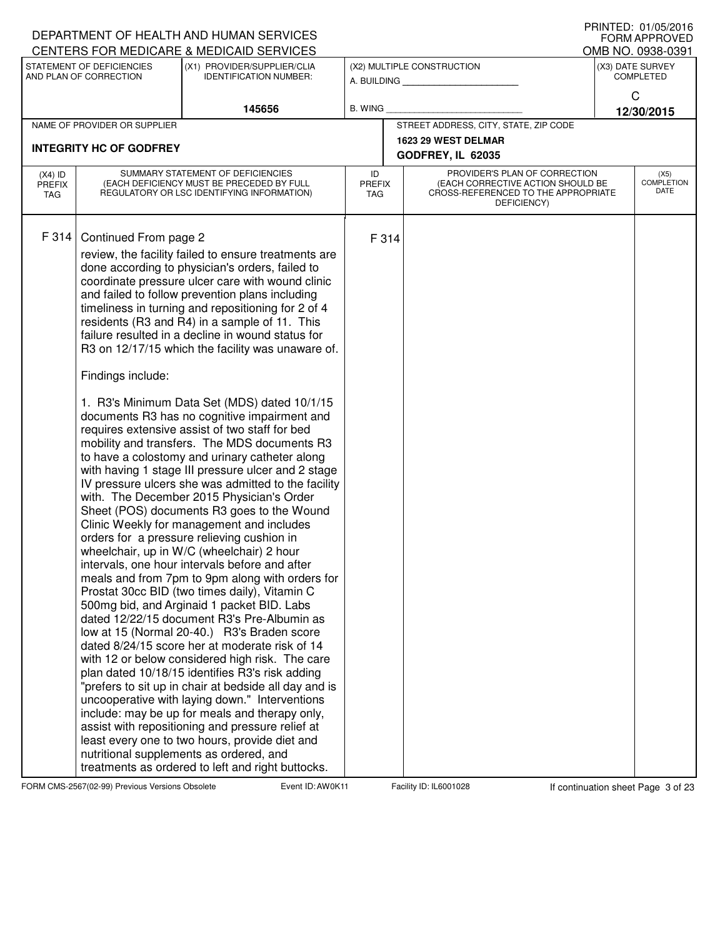|                                   |                                                     | DEPARTMENT OF HEALTH AND HUMAN SERVICES                                                                                                                                                                                                                                                                                                                                                                                                                                                                                                                                                                                                                                                                                                                                                                                                                                                                                                                                                                                                                                                                                                                                                                                                                                                                                                                                                                                                                                                                                                                                                                                                                                                                                                                                                                     |                                   |       |                                                                                                                          |                                       | <b>FORM APPROVED</b>       |
|-----------------------------------|-----------------------------------------------------|-------------------------------------------------------------------------------------------------------------------------------------------------------------------------------------------------------------------------------------------------------------------------------------------------------------------------------------------------------------------------------------------------------------------------------------------------------------------------------------------------------------------------------------------------------------------------------------------------------------------------------------------------------------------------------------------------------------------------------------------------------------------------------------------------------------------------------------------------------------------------------------------------------------------------------------------------------------------------------------------------------------------------------------------------------------------------------------------------------------------------------------------------------------------------------------------------------------------------------------------------------------------------------------------------------------------------------------------------------------------------------------------------------------------------------------------------------------------------------------------------------------------------------------------------------------------------------------------------------------------------------------------------------------------------------------------------------------------------------------------------------------------------------------------------------------|-----------------------------------|-------|--------------------------------------------------------------------------------------------------------------------------|---------------------------------------|----------------------------|
|                                   |                                                     | CENTERS FOR MEDICARE & MEDICAID SERVICES                                                                                                                                                                                                                                                                                                                                                                                                                                                                                                                                                                                                                                                                                                                                                                                                                                                                                                                                                                                                                                                                                                                                                                                                                                                                                                                                                                                                                                                                                                                                                                                                                                                                                                                                                                    |                                   |       |                                                                                                                          | OMB NO. 0938-0391<br>(X3) DATE SURVEY |                            |
|                                   | STATEMENT OF DEFICIENCIES<br>AND PLAN OF CORRECTION | (X1) PROVIDER/SUPPLIER/CLIA<br><b>IDENTIFICATION NUMBER:</b>                                                                                                                                                                                                                                                                                                                                                                                                                                                                                                                                                                                                                                                                                                                                                                                                                                                                                                                                                                                                                                                                                                                                                                                                                                                                                                                                                                                                                                                                                                                                                                                                                                                                                                                                                |                                   |       | (X2) MULTIPLE CONSTRUCTION<br>A. BUILDING <b>A.</b> BUILDING                                                             |                                       | <b>COMPLETED</b>           |
|                                   |                                                     | 145656                                                                                                                                                                                                                                                                                                                                                                                                                                                                                                                                                                                                                                                                                                                                                                                                                                                                                                                                                                                                                                                                                                                                                                                                                                                                                                                                                                                                                                                                                                                                                                                                                                                                                                                                                                                                      | <b>B. WING</b>                    |       |                                                                                                                          |                                       | C<br>12/30/2015            |
|                                   | NAME OF PROVIDER OR SUPPLIER                        |                                                                                                                                                                                                                                                                                                                                                                                                                                                                                                                                                                                                                                                                                                                                                                                                                                                                                                                                                                                                                                                                                                                                                                                                                                                                                                                                                                                                                                                                                                                                                                                                                                                                                                                                                                                                             |                                   |       | STREET ADDRESS, CITY, STATE, ZIP CODE                                                                                    |                                       |                            |
|                                   |                                                     |                                                                                                                                                                                                                                                                                                                                                                                                                                                                                                                                                                                                                                                                                                                                                                                                                                                                                                                                                                                                                                                                                                                                                                                                                                                                                                                                                                                                                                                                                                                                                                                                                                                                                                                                                                                                             |                                   |       | 1623 29 WEST DELMAR                                                                                                      |                                       |                            |
|                                   | <b>INTEGRITY HC OF GODFREY</b>                      |                                                                                                                                                                                                                                                                                                                                                                                                                                                                                                                                                                                                                                                                                                                                                                                                                                                                                                                                                                                                                                                                                                                                                                                                                                                                                                                                                                                                                                                                                                                                                                                                                                                                                                                                                                                                             |                                   |       | GODFREY, IL 62035                                                                                                        |                                       |                            |
| $(X4)$ ID<br><b>PREFIX</b><br>TAG |                                                     | SUMMARY STATEMENT OF DEFICIENCIES<br>(EACH DEFICIENCY MUST BE PRECEDED BY FULL<br>REGULATORY OR LSC IDENTIFYING INFORMATION)                                                                                                                                                                                                                                                                                                                                                                                                                                                                                                                                                                                                                                                                                                                                                                                                                                                                                                                                                                                                                                                                                                                                                                                                                                                                                                                                                                                                                                                                                                                                                                                                                                                                                | ID<br><b>PREFIX</b><br><b>TAG</b> |       | PROVIDER'S PLAN OF CORRECTION<br>(EACH CORRECTIVE ACTION SHOULD BE<br>CROSS-REFERENCED TO THE APPROPRIATE<br>DEFICIENCY) |                                       | (X5)<br>COMPLETION<br>DATE |
| F 314                             | Continued From page 2<br>Findings include:          | review, the facility failed to ensure treatments are<br>done according to physician's orders, failed to<br>coordinate pressure ulcer care with wound clinic<br>and failed to follow prevention plans including<br>timeliness in turning and repositioning for 2 of 4<br>residents (R3 and R4) in a sample of 11. This<br>failure resulted in a decline in wound status for<br>R3 on 12/17/15 which the facility was unaware of.<br>1. R3's Minimum Data Set (MDS) dated 10/1/15<br>documents R3 has no cognitive impairment and<br>requires extensive assist of two staff for bed<br>mobility and transfers. The MDS documents R3<br>to have a colostomy and urinary catheter along<br>with having 1 stage III pressure ulcer and 2 stage<br>IV pressure ulcers she was admitted to the facility<br>with. The December 2015 Physician's Order<br>Sheet (POS) documents R3 goes to the Wound<br>Clinic Weekly for management and includes<br>orders for a pressure relieving cushion in<br>wheelchair, up in W/C (wheelchair) 2 hour<br>intervals, one hour intervals before and after<br>meals and from 7pm to 9pm along with orders for<br>Prostat 30cc BID (two times daily), Vitamin C<br>500mg bid, and Arginaid 1 packet BID. Labs<br>dated 12/22/15 document R3's Pre-Albumin as<br>low at 15 (Normal 20-40.) R3's Braden score<br>dated 8/24/15 score her at moderate risk of 14<br>with 12 or below considered high risk. The care<br>plan dated 10/18/15 identifies R3's risk adding<br>"prefers to sit up in chair at bedside all day and is<br>uncooperative with laying down." Interventions<br>include: may be up for meals and therapy only,<br>assist with repositioning and pressure relief at<br>least every one to two hours, provide diet and<br>nutritional supplements as ordered, and |                                   | F 314 |                                                                                                                          |                                       |                            |
|                                   |                                                     | treatments as ordered to left and right buttocks.                                                                                                                                                                                                                                                                                                                                                                                                                                                                                                                                                                                                                                                                                                                                                                                                                                                                                                                                                                                                                                                                                                                                                                                                                                                                                                                                                                                                                                                                                                                                                                                                                                                                                                                                                           |                                   |       |                                                                                                                          |                                       |                            |

FORM CMS-2567(02-99) Previous Versions Obsolete **AUDIC Event ID: AW0K11** Facility ID: IL6001028 If continuation sheet Page 3 of 23

DEPARTMENT OF HEALTH AND HUMAN SERVICES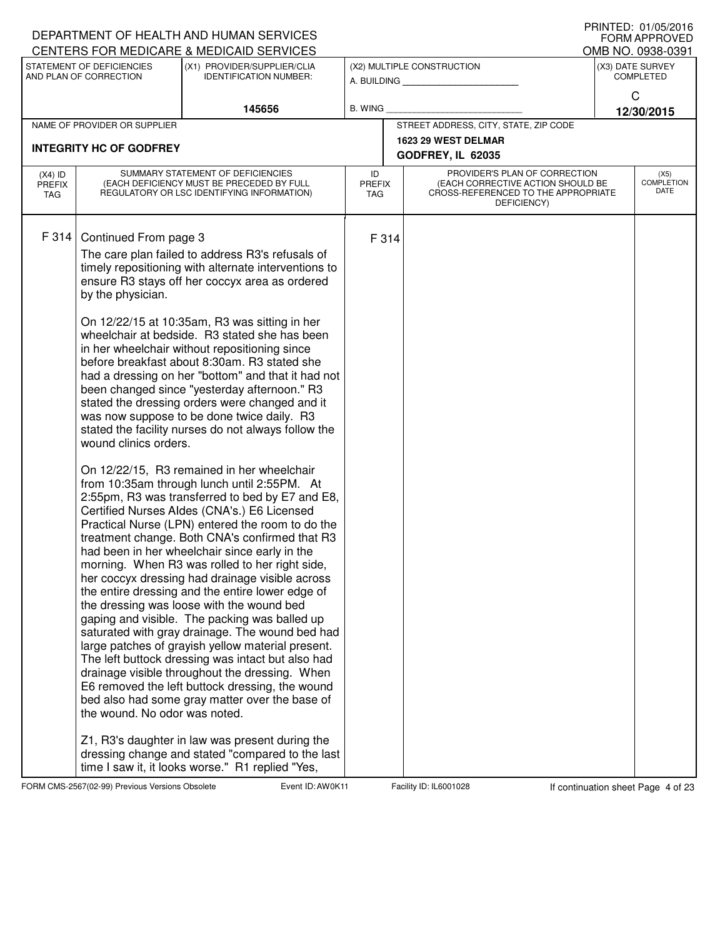| DEPARTMENT OF HEALTH AND HUMAN SERVICES                                                                       |                                                                                                                                                                                                                                                                                                                                                                                                                                                                                                                                                                                                                                                                                                                                                                                                                                                                                                                                                                                                                                                                                                                                                                                                                                                                                                                                                                                                                                                                                                                                                                                                                                                                                                                        |                                   |                                                                                                                          |                                       | FORM APPROVED                     |
|---------------------------------------------------------------------------------------------------------------|------------------------------------------------------------------------------------------------------------------------------------------------------------------------------------------------------------------------------------------------------------------------------------------------------------------------------------------------------------------------------------------------------------------------------------------------------------------------------------------------------------------------------------------------------------------------------------------------------------------------------------------------------------------------------------------------------------------------------------------------------------------------------------------------------------------------------------------------------------------------------------------------------------------------------------------------------------------------------------------------------------------------------------------------------------------------------------------------------------------------------------------------------------------------------------------------------------------------------------------------------------------------------------------------------------------------------------------------------------------------------------------------------------------------------------------------------------------------------------------------------------------------------------------------------------------------------------------------------------------------------------------------------------------------------------------------------------------------|-----------------------------------|--------------------------------------------------------------------------------------------------------------------------|---------------------------------------|-----------------------------------|
| CENTERS FOR MEDICARE & MEDICAID SERVICES                                                                      |                                                                                                                                                                                                                                                                                                                                                                                                                                                                                                                                                                                                                                                                                                                                                                                                                                                                                                                                                                                                                                                                                                                                                                                                                                                                                                                                                                                                                                                                                                                                                                                                                                                                                                                        |                                   |                                                                                                                          | OMB NO. 0938-0391<br>(X3) DATE SURVEY |                                   |
| STATEMENT OF DEFICIENCIES<br>AND PLAN OF CORRECTION                                                           | (X1) PROVIDER/SUPPLIER/CLIA<br><b>IDENTIFICATION NUMBER:</b>                                                                                                                                                                                                                                                                                                                                                                                                                                                                                                                                                                                                                                                                                                                                                                                                                                                                                                                                                                                                                                                                                                                                                                                                                                                                                                                                                                                                                                                                                                                                                                                                                                                           |                                   | (X2) MULTIPLE CONSTRUCTION<br>A. BUILDING <b>A.</b> BUILDING                                                             | <b>COMPLETED</b>                      |                                   |
|                                                                                                               | 145656                                                                                                                                                                                                                                                                                                                                                                                                                                                                                                                                                                                                                                                                                                                                                                                                                                                                                                                                                                                                                                                                                                                                                                                                                                                                                                                                                                                                                                                                                                                                                                                                                                                                                                                 | B. WING                           |                                                                                                                          | $\mathsf{C}$                          | 12/30/2015                        |
| NAME OF PROVIDER OR SUPPLIER                                                                                  |                                                                                                                                                                                                                                                                                                                                                                                                                                                                                                                                                                                                                                                                                                                                                                                                                                                                                                                                                                                                                                                                                                                                                                                                                                                                                                                                                                                                                                                                                                                                                                                                                                                                                                                        |                                   | STREET ADDRESS, CITY, STATE, ZIP CODE                                                                                    |                                       |                                   |
| <b>INTEGRITY HC OF GODFREY</b>                                                                                |                                                                                                                                                                                                                                                                                                                                                                                                                                                                                                                                                                                                                                                                                                                                                                                                                                                                                                                                                                                                                                                                                                                                                                                                                                                                                                                                                                                                                                                                                                                                                                                                                                                                                                                        |                                   | 1623 29 WEST DELMAR<br>GODFREY, IL 62035                                                                                 |                                       |                                   |
| $(X4)$ ID<br><b>PREFIX</b><br>TAG                                                                             | SUMMARY STATEMENT OF DEFICIENCIES<br>(EACH DEFICIENCY MUST BE PRECEDED BY FULL<br>REGULATORY OR LSC IDENTIFYING INFORMATION)                                                                                                                                                                                                                                                                                                                                                                                                                                                                                                                                                                                                                                                                                                                                                                                                                                                                                                                                                                                                                                                                                                                                                                                                                                                                                                                                                                                                                                                                                                                                                                                           | ID<br><b>PREFIX</b><br><b>TAG</b> | PROVIDER'S PLAN OF CORRECTION<br>(EACH CORRECTIVE ACTION SHOULD BE<br>CROSS-REFERENCED TO THE APPROPRIATE<br>DEFICIENCY) |                                       | (X5)<br><b>COMPLETION</b><br>DATE |
| F 314<br>Continued From page 3<br>by the physician.<br>wound clinics orders.<br>the wound. No odor was noted. | The care plan failed to address R3's refusals of<br>timely repositioning with alternate interventions to<br>ensure R3 stays off her coccyx area as ordered<br>On 12/22/15 at 10:35am, R3 was sitting in her<br>wheelchair at bedside. R3 stated she has been<br>in her wheelchair without repositioning since<br>before breakfast about 8:30am. R3 stated she<br>had a dressing on her "bottom" and that it had not<br>been changed since "yesterday afternoon." R3<br>stated the dressing orders were changed and it<br>was now suppose to be done twice daily. R3<br>stated the facility nurses do not always follow the<br>On 12/22/15, R3 remained in her wheelchair<br>from 10:35am through lunch until 2:55PM. At<br>2:55pm, R3 was transferred to bed by E7 and E8,<br>Certified Nurses Aldes (CNA's.) E6 Licensed<br>Practical Nurse (LPN) entered the room to do the<br>treatment change. Both CNA's confirmed that R3<br>had been in her wheelchair since early in the<br>morning. When R3 was rolled to her right side,<br>her coccyx dressing had drainage visible across<br>the entire dressing and the entire lower edge of<br>the dressing was loose with the wound bed<br>gaping and visible. The packing was balled up<br>saturated with gray drainage. The wound bed had<br>large patches of grayish yellow material present.<br>The left buttock dressing was intact but also had<br>drainage visible throughout the dressing. When<br>E6 removed the left buttock dressing, the wound<br>bed also had some gray matter over the base of<br>Z1, R3's daughter in law was present during the<br>dressing change and stated "compared to the last<br>time I saw it, it looks worse." R1 replied "Yes, | F 314                             |                                                                                                                          |                                       |                                   |

FORM CMS-2567(02-99) Previous Versions Obsolete **Auch Event ID: AW0K11** Facility ID: IL6001028 If continuation sheet Page 4 of 23

DEPARTMENT OF HEALTH AND HUMAN SERVICES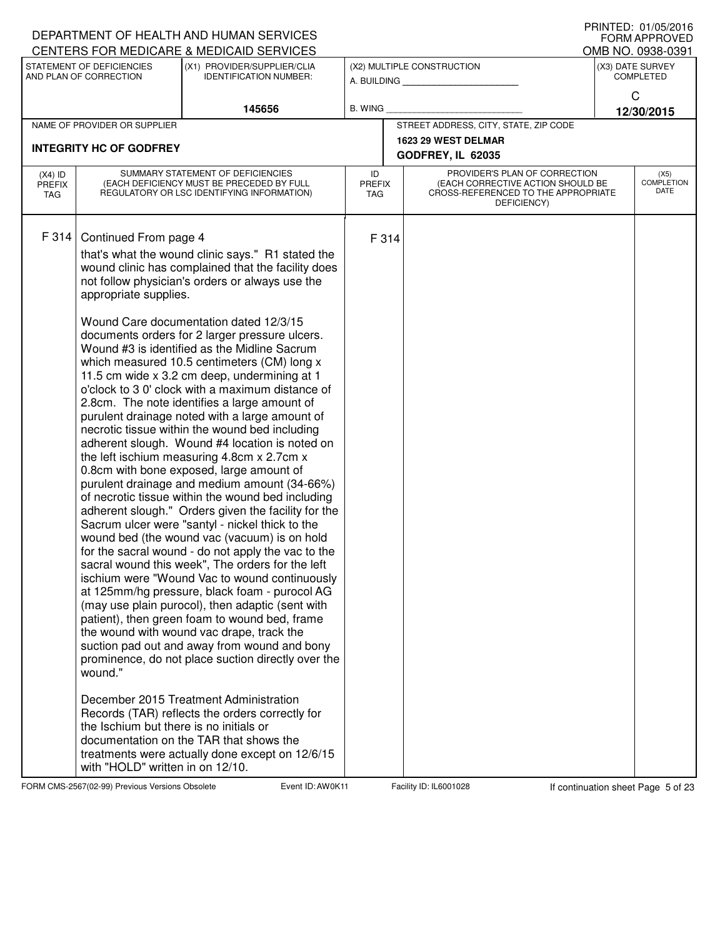| I IUINILLU. VIIUJILUIU<br>DEPARTMENT OF HEALTH AND HUMAN SERVICES<br><b>FORM APPROVED</b><br>CENTERS FOR MEDICARE & MEDICAID SERVICES |                                                                                                      |                                                                                                                                                                                                                                                                                                                                                                                                                                                                                                                                                                                                                                                                                                                                                                                                                                                                                                                                                                                                                                                                                                                                                                                                                                                                                                                                                                                                                                                                                                                                                                                                                                                                                         |                                   |       |                                                                                                                          |  |                                      |  |
|---------------------------------------------------------------------------------------------------------------------------------------|------------------------------------------------------------------------------------------------------|-----------------------------------------------------------------------------------------------------------------------------------------------------------------------------------------------------------------------------------------------------------------------------------------------------------------------------------------------------------------------------------------------------------------------------------------------------------------------------------------------------------------------------------------------------------------------------------------------------------------------------------------------------------------------------------------------------------------------------------------------------------------------------------------------------------------------------------------------------------------------------------------------------------------------------------------------------------------------------------------------------------------------------------------------------------------------------------------------------------------------------------------------------------------------------------------------------------------------------------------------------------------------------------------------------------------------------------------------------------------------------------------------------------------------------------------------------------------------------------------------------------------------------------------------------------------------------------------------------------------------------------------------------------------------------------------|-----------------------------------|-------|--------------------------------------------------------------------------------------------------------------------------|--|--------------------------------------|--|
|                                                                                                                                       | STATEMENT OF DEFICIENCIES                                                                            |                                                                                                                                                                                                                                                                                                                                                                                                                                                                                                                                                                                                                                                                                                                                                                                                                                                                                                                                                                                                                                                                                                                                                                                                                                                                                                                                                                                                                                                                                                                                                                                                                                                                                         |                                   |       |                                                                                                                          |  | OMB NO. 0938-0391                    |  |
|                                                                                                                                       | AND PLAN OF CORRECTION                                                                               | (X1) PROVIDER/SUPPLIER/CLIA<br><b>IDENTIFICATION NUMBER:</b>                                                                                                                                                                                                                                                                                                                                                                                                                                                                                                                                                                                                                                                                                                                                                                                                                                                                                                                                                                                                                                                                                                                                                                                                                                                                                                                                                                                                                                                                                                                                                                                                                            |                                   |       | (X2) MULTIPLE CONSTRUCTION<br>A. BUILDING                                                                                |  | (X3) DATE SURVEY<br><b>COMPLETED</b> |  |
|                                                                                                                                       |                                                                                                      |                                                                                                                                                                                                                                                                                                                                                                                                                                                                                                                                                                                                                                                                                                                                                                                                                                                                                                                                                                                                                                                                                                                                                                                                                                                                                                                                                                                                                                                                                                                                                                                                                                                                                         |                                   |       |                                                                                                                          |  | $\mathsf{C}$                         |  |
|                                                                                                                                       |                                                                                                      | 145656                                                                                                                                                                                                                                                                                                                                                                                                                                                                                                                                                                                                                                                                                                                                                                                                                                                                                                                                                                                                                                                                                                                                                                                                                                                                                                                                                                                                                                                                                                                                                                                                                                                                                  | <b>B. WING</b>                    |       |                                                                                                                          |  | 12/30/2015                           |  |
|                                                                                                                                       | NAME OF PROVIDER OR SUPPLIER                                                                         |                                                                                                                                                                                                                                                                                                                                                                                                                                                                                                                                                                                                                                                                                                                                                                                                                                                                                                                                                                                                                                                                                                                                                                                                                                                                                                                                                                                                                                                                                                                                                                                                                                                                                         |                                   |       | STREET ADDRESS, CITY, STATE, ZIP CODE                                                                                    |  |                                      |  |
|                                                                                                                                       |                                                                                                      |                                                                                                                                                                                                                                                                                                                                                                                                                                                                                                                                                                                                                                                                                                                                                                                                                                                                                                                                                                                                                                                                                                                                                                                                                                                                                                                                                                                                                                                                                                                                                                                                                                                                                         |                                   |       | 1623 29 WEST DELMAR                                                                                                      |  |                                      |  |
|                                                                                                                                       | <b>INTEGRITY HC OF GODFREY</b>                                                                       |                                                                                                                                                                                                                                                                                                                                                                                                                                                                                                                                                                                                                                                                                                                                                                                                                                                                                                                                                                                                                                                                                                                                                                                                                                                                                                                                                                                                                                                                                                                                                                                                                                                                                         |                                   |       | GODFREY, IL 62035                                                                                                        |  |                                      |  |
| $(X4)$ ID<br><b>PREFIX</b><br>TAG                                                                                                     |                                                                                                      | SUMMARY STATEMENT OF DEFICIENCIES<br>(EACH DEFICIENCY MUST BE PRECEDED BY FULL<br>REGULATORY OR LSC IDENTIFYING INFORMATION)                                                                                                                                                                                                                                                                                                                                                                                                                                                                                                                                                                                                                                                                                                                                                                                                                                                                                                                                                                                                                                                                                                                                                                                                                                                                                                                                                                                                                                                                                                                                                            | ID<br><b>PREFIX</b><br><b>TAG</b> |       | PROVIDER'S PLAN OF CORRECTION<br>(EACH CORRECTIVE ACTION SHOULD BE<br>CROSS-REFERENCED TO THE APPROPRIATE<br>DEFICIENCY) |  | (X5)<br><b>COMPLETION</b><br>DATE    |  |
| F 314                                                                                                                                 | Continued From page 4<br>appropriate supplies.<br>wound."<br>the Ischium but there is no initials or | that's what the wound clinic says." R1 stated the<br>wound clinic has complained that the facility does<br>not follow physician's orders or always use the<br>Wound Care documentation dated 12/3/15<br>documents orders for 2 larger pressure ulcers.<br>Wound #3 is identified as the Midline Sacrum<br>which measured 10.5 centimeters (CM) long x<br>11.5 cm wide x 3.2 cm deep, undermining at 1<br>o'clock to 3 0' clock with a maximum distance of<br>2.8cm. The note identifies a large amount of<br>purulent drainage noted with a large amount of<br>necrotic tissue within the wound bed including<br>adherent slough. Wound #4 location is noted on<br>the left ischium measuring 4.8cm x 2.7cm x<br>0.8cm with bone exposed, large amount of<br>purulent drainage and medium amount (34-66%)<br>of necrotic tissue within the wound bed including<br>adherent slough." Orders given the facility for the<br>Sacrum ulcer were "santyl - nickel thick to the<br>wound bed (the wound vac (vacuum) is on hold<br>for the sacral wound - do not apply the vac to the<br>sacral wound this week", The orders for the left<br>ischium were "Wound Vac to wound continuously<br>at 125mm/hg pressure, black foam - purocol AG<br>(may use plain purocol), then adaptic (sent with<br>patient), then green foam to wound bed, frame<br>the wound with wound vac drape, track the<br>suction pad out and away from wound and bony<br>prominence, do not place suction directly over the<br>December 2015 Treatment Administration<br>Records (TAR) reflects the orders correctly for<br>documentation on the TAR that shows the<br>treatments were actually done except on 12/6/15 |                                   | F 314 |                                                                                                                          |  |                                      |  |
|                                                                                                                                       | with "HOLD" written in on 12/10.                                                                     |                                                                                                                                                                                                                                                                                                                                                                                                                                                                                                                                                                                                                                                                                                                                                                                                                                                                                                                                                                                                                                                                                                                                                                                                                                                                                                                                                                                                                                                                                                                                                                                                                                                                                         |                                   |       |                                                                                                                          |  |                                      |  |

FORM CMS-2567(02-99) Previous Versions Obsolete **AUDIC EVENT EVENT EVENT EXAVOK 11** Facility ID: IL6001028 If continuation sheet Page 5 of 23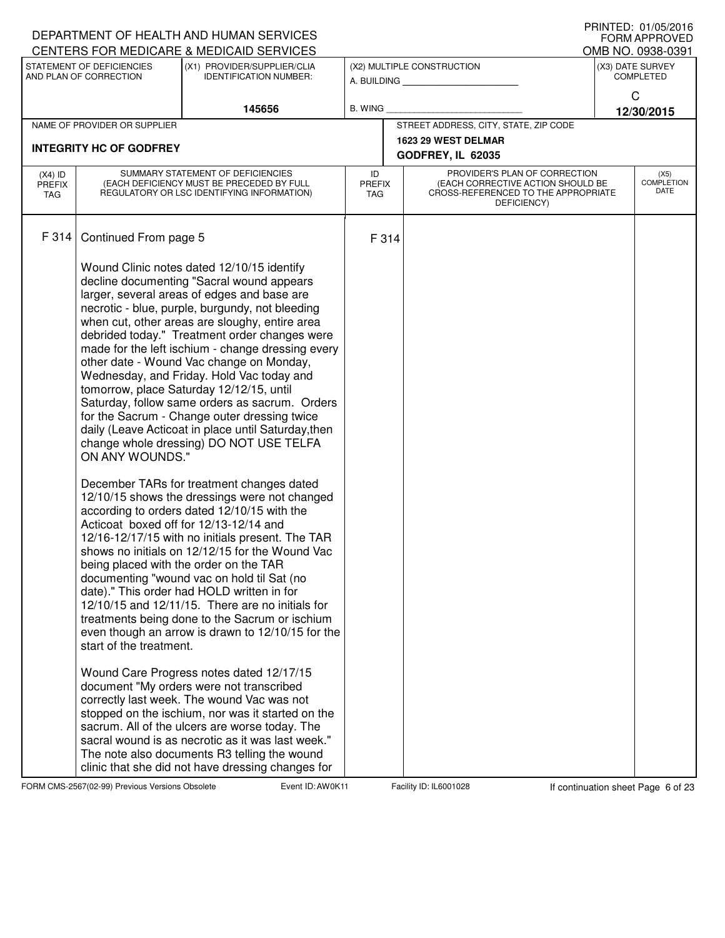|                                   |                                                                                                                              | DEPARTMENT OF HEALTH AND HUMAN SERVICES                                                                                                                                                                                                                                                                                                                                                                                                                                                                                                                                                                                                                                                                                                                                                                                                                                                                                                                                                                                                                                                                                                                                                                                                                                                                                                                                                                                                                                                                                                                                                                                                                                                               |                |                             |                                                                                                                          |                                       | $1111111$ LU. UT/UJ/LUTU<br><b>FORM APPROVED</b> |
|-----------------------------------|------------------------------------------------------------------------------------------------------------------------------|-------------------------------------------------------------------------------------------------------------------------------------------------------------------------------------------------------------------------------------------------------------------------------------------------------------------------------------------------------------------------------------------------------------------------------------------------------------------------------------------------------------------------------------------------------------------------------------------------------------------------------------------------------------------------------------------------------------------------------------------------------------------------------------------------------------------------------------------------------------------------------------------------------------------------------------------------------------------------------------------------------------------------------------------------------------------------------------------------------------------------------------------------------------------------------------------------------------------------------------------------------------------------------------------------------------------------------------------------------------------------------------------------------------------------------------------------------------------------------------------------------------------------------------------------------------------------------------------------------------------------------------------------------------------------------------------------------|----------------|-----------------------------|--------------------------------------------------------------------------------------------------------------------------|---------------------------------------|--------------------------------------------------|
|                                   | STATEMENT OF DEFICIENCIES                                                                                                    | CENTERS FOR MEDICARE & MEDICAID SERVICES<br>(X1) PROVIDER/SUPPLIER/CLIA                                                                                                                                                                                                                                                                                                                                                                                                                                                                                                                                                                                                                                                                                                                                                                                                                                                                                                                                                                                                                                                                                                                                                                                                                                                                                                                                                                                                                                                                                                                                                                                                                               |                |                             | (X2) MULTIPLE CONSTRUCTION                                                                                               | OMB NO. 0938-0391<br>(X3) DATE SURVEY |                                                  |
|                                   | AND PLAN OF CORRECTION                                                                                                       | <b>IDENTIFICATION NUMBER:</b>                                                                                                                                                                                                                                                                                                                                                                                                                                                                                                                                                                                                                                                                                                                                                                                                                                                                                                                                                                                                                                                                                                                                                                                                                                                                                                                                                                                                                                                                                                                                                                                                                                                                         |                |                             | A. BUILDING                                                                                                              |                                       | <b>COMPLETED</b>                                 |
|                                   |                                                                                                                              |                                                                                                                                                                                                                                                                                                                                                                                                                                                                                                                                                                                                                                                                                                                                                                                                                                                                                                                                                                                                                                                                                                                                                                                                                                                                                                                                                                                                                                                                                                                                                                                                                                                                                                       |                |                             |                                                                                                                          |                                       | C                                                |
|                                   | NAME OF PROVIDER OR SUPPLIER                                                                                                 | 145656                                                                                                                                                                                                                                                                                                                                                                                                                                                                                                                                                                                                                                                                                                                                                                                                                                                                                                                                                                                                                                                                                                                                                                                                                                                                                                                                                                                                                                                                                                                                                                                                                                                                                                | <b>B. WING</b> |                             | STREET ADDRESS, CITY, STATE, ZIP CODE                                                                                    |                                       | 12/30/2015                                       |
|                                   |                                                                                                                              |                                                                                                                                                                                                                                                                                                                                                                                                                                                                                                                                                                                                                                                                                                                                                                                                                                                                                                                                                                                                                                                                                                                                                                                                                                                                                                                                                                                                                                                                                                                                                                                                                                                                                                       |                |                             | 1623 29 WEST DELMAR                                                                                                      |                                       |                                                  |
|                                   | <b>INTEGRITY HC OF GODFREY</b>                                                                                               |                                                                                                                                                                                                                                                                                                                                                                                                                                                                                                                                                                                                                                                                                                                                                                                                                                                                                                                                                                                                                                                                                                                                                                                                                                                                                                                                                                                                                                                                                                                                                                                                                                                                                                       |                |                             | GODFREY, IL 62035                                                                                                        |                                       |                                                  |
| $(X4)$ ID<br><b>PREFIX</b><br>TAG | SUMMARY STATEMENT OF DEFICIENCIES<br>(EACH DEFICIENCY MUST BE PRECEDED BY FULL<br>REGULATORY OR LSC IDENTIFYING INFORMATION) |                                                                                                                                                                                                                                                                                                                                                                                                                                                                                                                                                                                                                                                                                                                                                                                                                                                                                                                                                                                                                                                                                                                                                                                                                                                                                                                                                                                                                                                                                                                                                                                                                                                                                                       |                | <b>PREFIX</b><br><b>TAG</b> | PROVIDER'S PLAN OF CORRECTION<br>(EACH CORRECTIVE ACTION SHOULD BE<br>CROSS-REFERENCED TO THE APPROPRIATE<br>DEFICIENCY) |                                       | (X5)<br><b>COMPLETION</b><br>DATE                |
| F 314                             | Continued From page 5                                                                                                        |                                                                                                                                                                                                                                                                                                                                                                                                                                                                                                                                                                                                                                                                                                                                                                                                                                                                                                                                                                                                                                                                                                                                                                                                                                                                                                                                                                                                                                                                                                                                                                                                                                                                                                       | F 314          |                             |                                                                                                                          |                                       |                                                  |
|                                   | ON ANY WOUNDS."<br>start of the treatment.                                                                                   | Wound Clinic notes dated 12/10/15 identify<br>decline documenting "Sacral wound appears<br>larger, several areas of edges and base are<br>necrotic - blue, purple, burgundy, not bleeding<br>when cut, other areas are sloughy, entire area<br>debrided today." Treatment order changes were<br>made for the left ischium - change dressing every<br>other date - Wound Vac change on Monday,<br>Wednesday, and Friday. Hold Vac today and<br>tomorrow, place Saturday 12/12/15, until<br>Saturday, follow same orders as sacrum. Orders<br>for the Sacrum - Change outer dressing twice<br>daily (Leave Acticoat in place until Saturday, then<br>change whole dressing) DO NOT USE TELFA<br>December TARs for treatment changes dated<br>12/10/15 shows the dressings were not changed<br>according to orders dated 12/10/15 with the<br>Acticoat boxed off for 12/13-12/14 and<br>12/16-12/17/15 with no initials present. The TAR<br>shows no initials on 12/12/15 for the Wound Vac<br>being placed with the order on the TAR<br>documenting "wound vac on hold til Sat (no<br>date)." This order had HOLD written in for<br>$12/10/15$ and $12/11/15$ . There are no initials for<br>treatments being done to the Sacrum or ischium<br>even though an arrow is drawn to 12/10/15 for the<br>Wound Care Progress notes dated 12/17/15<br>document "My orders were not transcribed<br>correctly last week. The wound Vac was not<br>stopped on the ischium, nor was it started on the<br>sacrum. All of the ulcers are worse today. The<br>sacral wound is as necrotic as it was last week."<br>The note also documents R3 telling the wound<br>clinic that she did not have dressing changes for |                |                             |                                                                                                                          |                                       |                                                  |

FORM CMS-2567(02-99) Previous Versions Obsolete **Auch Event ID: AW0K11** Facility ID: IL6001028 If continuation sheet Page 6 of 23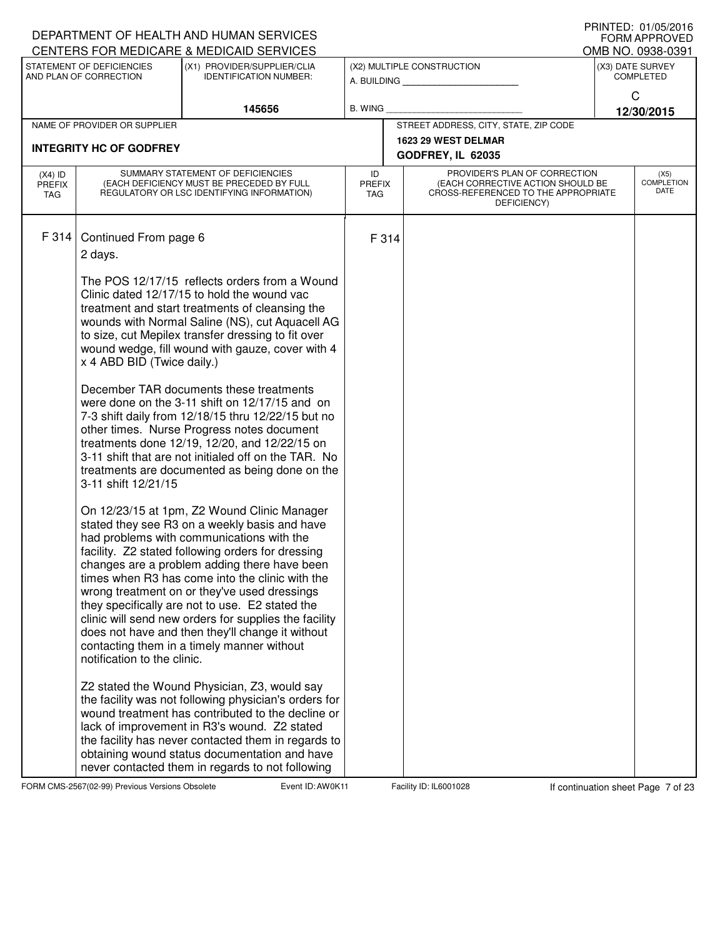| <b>I INIVILD. VI/VJ/ZVIV</b><br>DEPARTMENT OF HEALTH AND HUMAN SERVICES<br><b>FORM APPROVED</b><br>CENTERS FOR MEDICARE & MEDICAID SERVICES |                                                     |                                                                                                                                                                                                                                                                                                                                                                                                                                                                                                                                                                 |                                   |       |                                                                                                                          |  |                                                           |  |  |
|---------------------------------------------------------------------------------------------------------------------------------------------|-----------------------------------------------------|-----------------------------------------------------------------------------------------------------------------------------------------------------------------------------------------------------------------------------------------------------------------------------------------------------------------------------------------------------------------------------------------------------------------------------------------------------------------------------------------------------------------------------------------------------------------|-----------------------------------|-------|--------------------------------------------------------------------------------------------------------------------------|--|-----------------------------------------------------------|--|--|
|                                                                                                                                             | STATEMENT OF DEFICIENCIES<br>AND PLAN OF CORRECTION | (X1) PROVIDER/SUPPLIER/CLIA<br><b>IDENTIFICATION NUMBER:</b>                                                                                                                                                                                                                                                                                                                                                                                                                                                                                                    |                                   |       | (X2) MULTIPLE CONSTRUCTION<br>A. BUILDING                                                                                |  | OMB NO. 0938-0391<br>(X3) DATE SURVEY<br><b>COMPLETED</b> |  |  |
|                                                                                                                                             |                                                     | 145656                                                                                                                                                                                                                                                                                                                                                                                                                                                                                                                                                          | B. WING                           |       |                                                                                                                          |  | $\mathsf{C}$<br>12/30/2015                                |  |  |
|                                                                                                                                             | NAME OF PROVIDER OR SUPPLIER                        |                                                                                                                                                                                                                                                                                                                                                                                                                                                                                                                                                                 |                                   |       | STREET ADDRESS, CITY, STATE, ZIP CODE                                                                                    |  |                                                           |  |  |
|                                                                                                                                             | <b>INTEGRITY HC OF GODFREY</b>                      |                                                                                                                                                                                                                                                                                                                                                                                                                                                                                                                                                                 |                                   |       | 1623 29 WEST DELMAR                                                                                                      |  |                                                           |  |  |
|                                                                                                                                             |                                                     |                                                                                                                                                                                                                                                                                                                                                                                                                                                                                                                                                                 |                                   |       | GODFREY, IL 62035                                                                                                        |  |                                                           |  |  |
| $(X4)$ ID<br><b>PREFIX</b><br>TAG                                                                                                           |                                                     | SUMMARY STATEMENT OF DEFICIENCIES<br>(EACH DEFICIENCY MUST BE PRECEDED BY FULL<br>REGULATORY OR LSC IDENTIFYING INFORMATION)                                                                                                                                                                                                                                                                                                                                                                                                                                    | ID<br><b>PREFIX</b><br><b>TAG</b> |       | PROVIDER'S PLAN OF CORRECTION<br>(EACH CORRECTIVE ACTION SHOULD BE<br>CROSS-REFERENCED TO THE APPROPRIATE<br>DEFICIENCY) |  | (X5)<br><b>COMPLETION</b><br>DATE                         |  |  |
| F 314                                                                                                                                       | Continued From page 6<br>2 days.                    | The POS 12/17/15 reflects orders from a Wound                                                                                                                                                                                                                                                                                                                                                                                                                                                                                                                   |                                   | F 314 |                                                                                                                          |  |                                                           |  |  |
|                                                                                                                                             | x 4 ABD BID (Twice daily.)                          | Clinic dated 12/17/15 to hold the wound vac<br>treatment and start treatments of cleansing the<br>wounds with Normal Saline (NS), cut Aquacell AG<br>to size, cut Mepilex transfer dressing to fit over<br>wound wedge, fill wound with gauze, cover with 4                                                                                                                                                                                                                                                                                                     |                                   |       |                                                                                                                          |  |                                                           |  |  |
|                                                                                                                                             | 3-11 shift 12/21/15                                 | December TAR documents these treatments<br>were done on the 3-11 shift on 12/17/15 and on<br>7-3 shift daily from 12/18/15 thru 12/22/15 but no<br>other times. Nurse Progress notes document<br>treatments done 12/19, 12/20, and 12/22/15 on<br>3-11 shift that are not initialed off on the TAR. No<br>treatments are documented as being done on the                                                                                                                                                                                                        |                                   |       |                                                                                                                          |  |                                                           |  |  |
|                                                                                                                                             | notification to the clinic.                         | On 12/23/15 at 1pm, Z2 Wound Clinic Manager<br>stated they see R3 on a weekly basis and have<br>had problems with communications with the<br>facility. Z2 stated following orders for dressing<br>changes are a problem adding there have been<br>times when R3 has come into the clinic with the<br>wrong treatment on or they've used dressings<br>they specifically are not to use. E2 stated the<br>clinic will send new orders for supplies the facility<br>does not have and then they'll change it without<br>contacting them in a timely manner without |                                   |       |                                                                                                                          |  |                                                           |  |  |
|                                                                                                                                             |                                                     | Z2 stated the Wound Physician, Z3, would say<br>the facility was not following physician's orders for<br>wound treatment has contributed to the decline or<br>lack of improvement in R3's wound. Z2 stated<br>the facility has never contacted them in regards to<br>obtaining wound status documentation and have<br>never contacted them in regards to not following                                                                                                                                                                                          |                                   |       |                                                                                                                          |  |                                                           |  |  |

FORM CMS-2567(02-99) Previous Versions Obsolete **Auch Event ID: AW0K11** Facility ID: IL6001028 If continuation sheet Page 7 of 23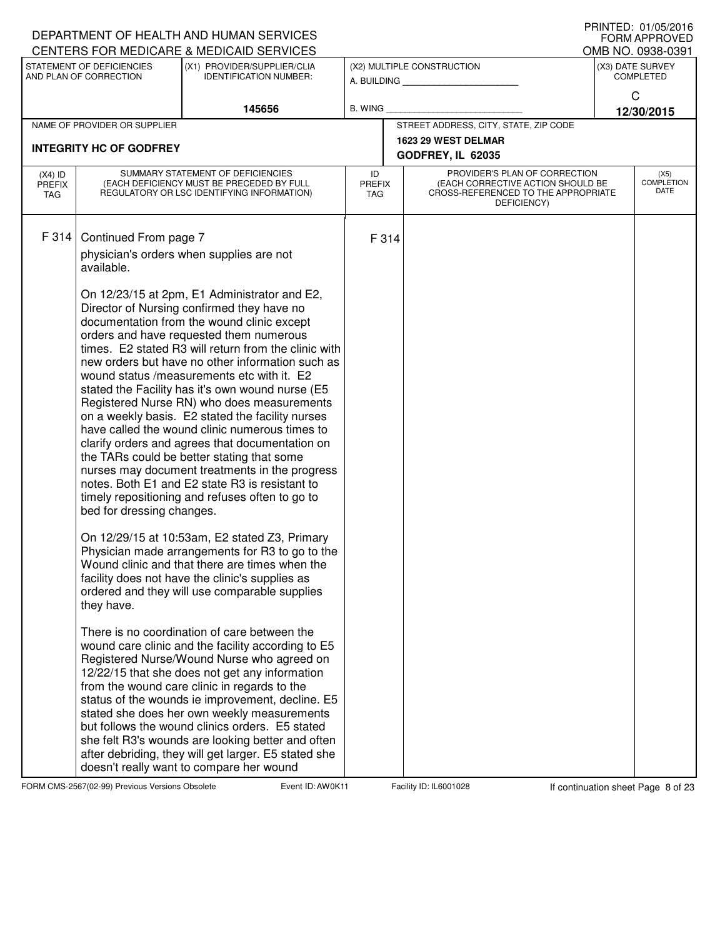|                                   |                                     | DEPARTMENT OF HEALTH AND HUMAN SERVICES<br>CENTERS FOR MEDICARE & MEDICAID SERVICES                                                                                                                                                                                                                                                                                                                                                                                                                                                                                                                                                                                                                                                                                                                           |                                   |                                                                                                                          |                                       | <b>FORM APPROVED</b>       |
|-----------------------------------|-------------------------------------|---------------------------------------------------------------------------------------------------------------------------------------------------------------------------------------------------------------------------------------------------------------------------------------------------------------------------------------------------------------------------------------------------------------------------------------------------------------------------------------------------------------------------------------------------------------------------------------------------------------------------------------------------------------------------------------------------------------------------------------------------------------------------------------------------------------|-----------------------------------|--------------------------------------------------------------------------------------------------------------------------|---------------------------------------|----------------------------|
|                                   | STATEMENT OF DEFICIENCIES           | (X1) PROVIDER/SUPPLIER/CLIA                                                                                                                                                                                                                                                                                                                                                                                                                                                                                                                                                                                                                                                                                                                                                                                   |                                   | (X2) MULTIPLE CONSTRUCTION                                                                                               | OMB NO. 0938-0391<br>(X3) DATE SURVEY |                            |
|                                   | AND PLAN OF CORRECTION              | <b>IDENTIFICATION NUMBER:</b>                                                                                                                                                                                                                                                                                                                                                                                                                                                                                                                                                                                                                                                                                                                                                                                 |                                   | A. BUILDING                                                                                                              |                                       | <b>COMPLETED</b>           |
|                                   |                                     | 145656                                                                                                                                                                                                                                                                                                                                                                                                                                                                                                                                                                                                                                                                                                                                                                                                        | B. WING                           |                                                                                                                          |                                       | C<br>12/30/2015            |
|                                   | NAME OF PROVIDER OR SUPPLIER        |                                                                                                                                                                                                                                                                                                                                                                                                                                                                                                                                                                                                                                                                                                                                                                                                               |                                   | STREET ADDRESS, CITY, STATE, ZIP CODE                                                                                    |                                       |                            |
|                                   | <b>INTEGRITY HC OF GODFREY</b>      |                                                                                                                                                                                                                                                                                                                                                                                                                                                                                                                                                                                                                                                                                                                                                                                                               |                                   | 1623 29 WEST DELMAR<br>GODFREY, IL 62035                                                                                 |                                       |                            |
| $(X4)$ ID<br><b>PREFIX</b><br>TAG |                                     | SUMMARY STATEMENT OF DEFICIENCIES<br>(EACH DEFICIENCY MUST BE PRECEDED BY FULL<br>REGULATORY OR LSC IDENTIFYING INFORMATION)                                                                                                                                                                                                                                                                                                                                                                                                                                                                                                                                                                                                                                                                                  | ID<br><b>PREFIX</b><br><b>TAG</b> | PROVIDER'S PLAN OF CORRECTION<br>(EACH CORRECTIVE ACTION SHOULD BE<br>CROSS-REFERENCED TO THE APPROPRIATE<br>DEFICIENCY) |                                       | (X5)<br>COMPLETION<br>DATE |
| F 314                             | Continued From page 7<br>available. | physician's orders when supplies are not                                                                                                                                                                                                                                                                                                                                                                                                                                                                                                                                                                                                                                                                                                                                                                      | F 314                             |                                                                                                                          |                                       |                            |
|                                   | bed for dressing changes.           | On 12/23/15 at 2pm, E1 Administrator and E2,<br>Director of Nursing confirmed they have no<br>documentation from the wound clinic except<br>orders and have requested them numerous<br>times. E2 stated R3 will return from the clinic with<br>new orders but have no other information such as<br>wound status /measurements etc with it. E2<br>stated the Facility has it's own wound nurse (E5<br>Registered Nurse RN) who does measurements<br>on a weekly basis. E2 stated the facility nurses<br>have called the wound clinic numerous times to<br>clarify orders and agrees that documentation on<br>the TARs could be better stating that some<br>nurses may document treatments in the progress<br>notes. Both E1 and E2 state R3 is resistant to<br>timely repositioning and refuses often to go to |                                   |                                                                                                                          |                                       |                            |
|                                   | they have.                          | On 12/29/15 at 10:53am, E2 stated Z3, Primary<br>Physician made arrangements for R3 to go to the<br>Wound clinic and that there are times when the<br>facility does not have the clinic's supplies as<br>ordered and they will use comparable supplies                                                                                                                                                                                                                                                                                                                                                                                                                                                                                                                                                        |                                   |                                                                                                                          |                                       |                            |
|                                   |                                     | There is no coordination of care between the<br>wound care clinic and the facility according to E5<br>Registered Nurse/Wound Nurse who agreed on<br>12/22/15 that she does not get any information<br>from the wound care clinic in regards to the<br>status of the wounds ie improvement, decline. E5<br>stated she does her own weekly measurements<br>but follows the wound clinics orders. E5 stated<br>she felt R3's wounds are looking better and often<br>after debriding, they will get larger. E5 stated she<br>doesn't really want to compare her wound                                                                                                                                                                                                                                             |                                   |                                                                                                                          |                                       |                            |

FORM CMS-2567(02-99) Previous Versions Obsolete **Auch Event ID: AW0K11** Facility ID: IL6001028 If continuation sheet Page 8 of 23

DEPARTMENT OF HEALTH AND HUMAN SERVICES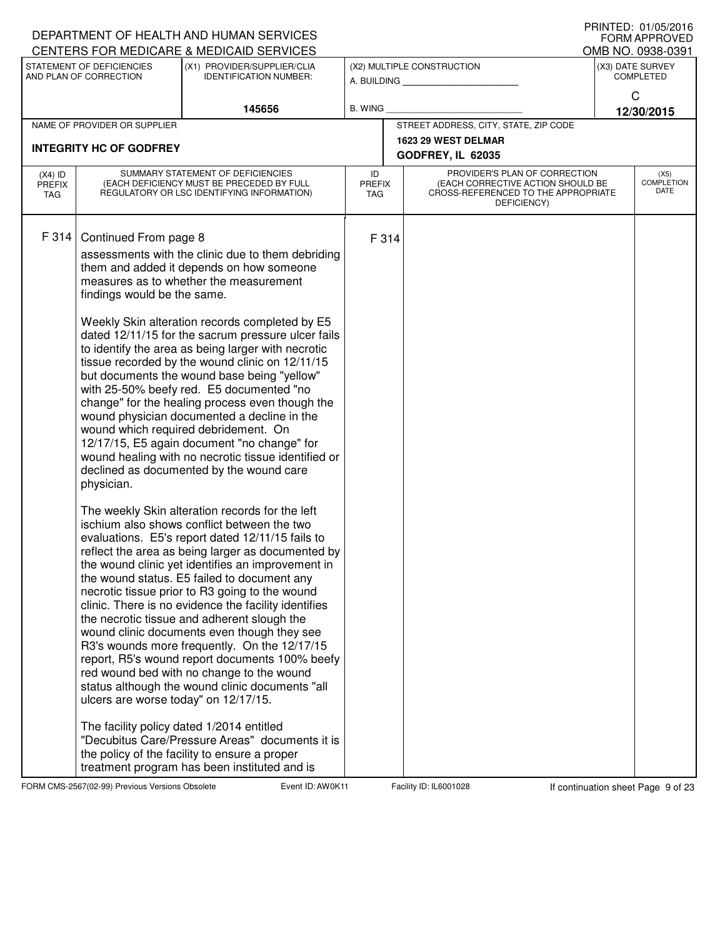| CENTERS FOR MEDICARE & MEDICAID SERVICES<br>STATEMENT OF DEFICIENCIES<br>(X1) PROVIDER/SUPPLIER/CLIA<br>(X2) MULTIPLE CONSTRUCTION<br>AND PLAN OF CORRECTION<br><b>IDENTIFICATION NUMBER:</b><br>A. BUILDING                                                                                                                                                                                                                                                                                                                                                                                                                                                                                                                                                                                                                                                                                                                                                                                                                                                                                                                                                                                                                                                                                                                                                                                                                                                                                                                                                                                                                                                                                                                                                                                              | OMB NO. 0938-0391<br>(X3) DATE SURVEY    |
|-----------------------------------------------------------------------------------------------------------------------------------------------------------------------------------------------------------------------------------------------------------------------------------------------------------------------------------------------------------------------------------------------------------------------------------------------------------------------------------------------------------------------------------------------------------------------------------------------------------------------------------------------------------------------------------------------------------------------------------------------------------------------------------------------------------------------------------------------------------------------------------------------------------------------------------------------------------------------------------------------------------------------------------------------------------------------------------------------------------------------------------------------------------------------------------------------------------------------------------------------------------------------------------------------------------------------------------------------------------------------------------------------------------------------------------------------------------------------------------------------------------------------------------------------------------------------------------------------------------------------------------------------------------------------------------------------------------------------------------------------------------------------------------------------------------|------------------------------------------|
|                                                                                                                                                                                                                                                                                                                                                                                                                                                                                                                                                                                                                                                                                                                                                                                                                                                                                                                                                                                                                                                                                                                                                                                                                                                                                                                                                                                                                                                                                                                                                                                                                                                                                                                                                                                                           |                                          |
|                                                                                                                                                                                                                                                                                                                                                                                                                                                                                                                                                                                                                                                                                                                                                                                                                                                                                                                                                                                                                                                                                                                                                                                                                                                                                                                                                                                                                                                                                                                                                                                                                                                                                                                                                                                                           | <b>COMPLETED</b>                         |
| 145656<br><b>B. WING</b>                                                                                                                                                                                                                                                                                                                                                                                                                                                                                                                                                                                                                                                                                                                                                                                                                                                                                                                                                                                                                                                                                                                                                                                                                                                                                                                                                                                                                                                                                                                                                                                                                                                                                                                                                                                  | C<br>12/30/2015                          |
| STREET ADDRESS, CITY, STATE, ZIP CODE<br>NAME OF PROVIDER OR SUPPLIER                                                                                                                                                                                                                                                                                                                                                                                                                                                                                                                                                                                                                                                                                                                                                                                                                                                                                                                                                                                                                                                                                                                                                                                                                                                                                                                                                                                                                                                                                                                                                                                                                                                                                                                                     |                                          |
| 1623 29 WEST DELMAR<br><b>INTEGRITY HC OF GODFREY</b>                                                                                                                                                                                                                                                                                                                                                                                                                                                                                                                                                                                                                                                                                                                                                                                                                                                                                                                                                                                                                                                                                                                                                                                                                                                                                                                                                                                                                                                                                                                                                                                                                                                                                                                                                     |                                          |
| GODFREY, IL 62035                                                                                                                                                                                                                                                                                                                                                                                                                                                                                                                                                                                                                                                                                                                                                                                                                                                                                                                                                                                                                                                                                                                                                                                                                                                                                                                                                                                                                                                                                                                                                                                                                                                                                                                                                                                         |                                          |
| SUMMARY STATEMENT OF DEFICIENCIES<br>PROVIDER'S PLAN OF CORRECTION<br>$(X4)$ ID<br>ID<br>(EACH DEFICIENCY MUST BE PRECEDED BY FULL<br>(EACH CORRECTIVE ACTION SHOULD BE<br><b>PREFIX</b><br><b>PREFIX</b><br>CROSS-REFERENCED TO THE APPROPRIATE<br>REGULATORY OR LSC IDENTIFYING INFORMATION)<br><b>TAG</b><br>TAG<br>DEFICIENCY)                                                                                                                                                                                                                                                                                                                                                                                                                                                                                                                                                                                                                                                                                                                                                                                                                                                                                                                                                                                                                                                                                                                                                                                                                                                                                                                                                                                                                                                                        | (X5)<br><b>COMPLETION</b><br><b>DATE</b> |
| F 314<br>Continued From page 8<br>F 314<br>assessments with the clinic due to them debriding<br>them and added it depends on how someone<br>measures as to whether the measurement<br>findings would be the same.<br>Weekly Skin alteration records completed by E5<br>dated 12/11/15 for the sacrum pressure ulcer fails<br>to identify the area as being larger with necrotic<br>tissue recorded by the wound clinic on 12/11/15<br>but documents the wound base being "yellow"<br>with 25-50% beefy red. E5 documented "no<br>change" for the healing process even though the<br>wound physician documented a decline in the<br>wound which required debridement. On<br>12/17/15, E5 again document "no change" for<br>wound healing with no necrotic tissue identified or<br>declined as documented by the wound care<br>physician.<br>The weekly Skin alteration records for the left<br>ischium also shows conflict between the two<br>evaluations. E5's report dated 12/11/15 fails to<br>reflect the area as being larger as documented by<br>the wound clinic yet identifies an improvement in<br>the wound status. E5 failed to document any<br>necrotic tissue prior to R3 going to the wound<br>clinic. There is no evidence the facility identifies<br>the necrotic tissue and adherent slough the<br>wound clinic documents even though they see<br>R3's wounds more frequently. On the 12/17/15<br>report, R5's wound report documents 100% beefy<br>red wound bed with no change to the wound<br>status although the wound clinic documents "all<br>ulcers are worse today" on 12/17/15.<br>The facility policy dated 1/2014 entitled<br>"Decubitus Care/Pressure Areas" documents it is<br>the policy of the facility to ensure a proper<br>treatment program has been instituted and is |                                          |

FORM CMS-2567(02-99) Previous Versions Obsolete **Auch Event ID: AW0K11** Facility ID: IL6001028 If continuation sheet Page 9 of 23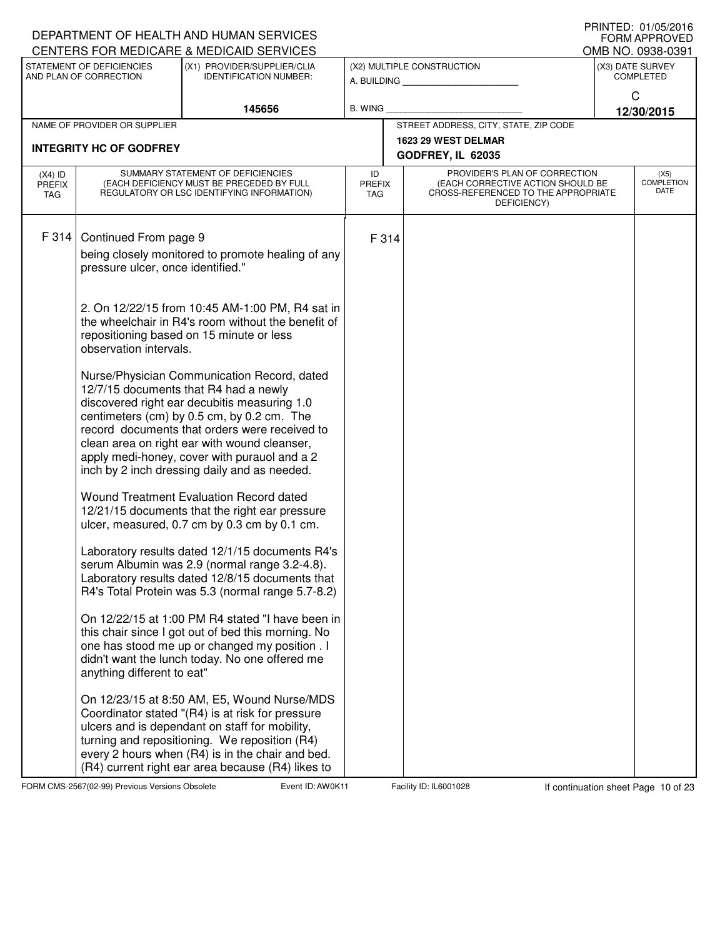| IIUINILLY. VI/VJ/ZVIV<br>DEPARTMENT OF HEALTH AND HUMAN SERVICES<br>CENTERS FOR MEDICARE & MEDICAID SERVICES |                                   |                                                                                                                              |                                   |       |                                                                                                                          |                                       |                                   |  |
|--------------------------------------------------------------------------------------------------------------|-----------------------------------|------------------------------------------------------------------------------------------------------------------------------|-----------------------------------|-------|--------------------------------------------------------------------------------------------------------------------------|---------------------------------------|-----------------------------------|--|
|                                                                                                              | STATEMENT OF DEFICIENCIES         | (X1) PROVIDER/SUPPLIER/CLIA                                                                                                  |                                   |       | (X2) MULTIPLE CONSTRUCTION                                                                                               | OMB NO. 0938-0391<br>(X3) DATE SURVEY |                                   |  |
|                                                                                                              | AND PLAN OF CORRECTION            | <b>IDENTIFICATION NUMBER:</b>                                                                                                |                                   |       | A. BUILDING                                                                                                              |                                       | <b>COMPLETED</b>                  |  |
|                                                                                                              |                                   | 145656                                                                                                                       | B. WING                           |       |                                                                                                                          | $\mathsf{C}$                          | 12/30/2015                        |  |
|                                                                                                              | NAME OF PROVIDER OR SUPPLIER      |                                                                                                                              |                                   |       | STREET ADDRESS, CITY, STATE, ZIP CODE                                                                                    |                                       |                                   |  |
|                                                                                                              | <b>INTEGRITY HC OF GODFREY</b>    |                                                                                                                              |                                   |       | 1623 29 WEST DELMAR                                                                                                      |                                       |                                   |  |
|                                                                                                              |                                   |                                                                                                                              |                                   |       | GODFREY, IL 62035                                                                                                        |                                       |                                   |  |
| $(X4)$ ID<br><b>PREFIX</b><br>TAG                                                                            |                                   | SUMMARY STATEMENT OF DEFICIENCIES<br>(EACH DEFICIENCY MUST BE PRECEDED BY FULL<br>REGULATORY OR LSC IDENTIFYING INFORMATION) | ID<br><b>PREFIX</b><br><b>TAG</b> |       | PROVIDER'S PLAN OF CORRECTION<br>(EACH CORRECTIVE ACTION SHOULD BE<br>CROSS-REFERENCED TO THE APPROPRIATE<br>DEFICIENCY) |                                       | (X5)<br><b>COMPLETION</b><br>DATE |  |
| F 314                                                                                                        |                                   |                                                                                                                              |                                   |       |                                                                                                                          |                                       |                                   |  |
|                                                                                                              | Continued From page 9             | being closely monitored to promote healing of any                                                                            |                                   | F 314 |                                                                                                                          |                                       |                                   |  |
|                                                                                                              | pressure ulcer, once identified." |                                                                                                                              |                                   |       |                                                                                                                          |                                       |                                   |  |
|                                                                                                              |                                   | 2. On 12/22/15 from 10:45 AM-1:00 PM, R4 sat in                                                                              |                                   |       |                                                                                                                          |                                       |                                   |  |
|                                                                                                              |                                   | the wheelchair in R4's room without the benefit of                                                                           |                                   |       |                                                                                                                          |                                       |                                   |  |
|                                                                                                              | observation intervals.            | repositioning based on 15 minute or less                                                                                     |                                   |       |                                                                                                                          |                                       |                                   |  |
|                                                                                                              |                                   |                                                                                                                              |                                   |       |                                                                                                                          |                                       |                                   |  |
|                                                                                                              |                                   | Nurse/Physician Communication Record, dated<br>12/7/15 documents that R4 had a newly                                         |                                   |       |                                                                                                                          |                                       |                                   |  |
|                                                                                                              |                                   | discovered right ear decubitis measuring 1.0                                                                                 |                                   |       |                                                                                                                          |                                       |                                   |  |
|                                                                                                              |                                   | centimeters (cm) by 0.5 cm, by 0.2 cm. The<br>record documents that orders were received to                                  |                                   |       |                                                                                                                          |                                       |                                   |  |
|                                                                                                              |                                   | clean area on right ear with wound cleanser,                                                                                 |                                   |       |                                                                                                                          |                                       |                                   |  |
|                                                                                                              |                                   | apply medi-honey, cover with purauol and a 2<br>inch by 2 inch dressing daily and as needed.                                 |                                   |       |                                                                                                                          |                                       |                                   |  |
|                                                                                                              |                                   | Wound Treatment Evaluation Record dated                                                                                      |                                   |       |                                                                                                                          |                                       |                                   |  |
|                                                                                                              |                                   | 12/21/15 documents that the right ear pressure<br>ulcer, measured, 0.7 cm by 0.3 cm by 0.1 cm.                               |                                   |       |                                                                                                                          |                                       |                                   |  |
|                                                                                                              |                                   |                                                                                                                              |                                   |       |                                                                                                                          |                                       |                                   |  |
|                                                                                                              |                                   | Laboratory results dated 12/1/15 documents R4's<br>serum Albumin was 2.9 (normal range 3.2-4.8).                             |                                   |       |                                                                                                                          |                                       |                                   |  |
|                                                                                                              |                                   | Laboratory results dated 12/8/15 documents that                                                                              |                                   |       |                                                                                                                          |                                       |                                   |  |
|                                                                                                              |                                   | R4's Total Protein was 5.3 (normal range 5.7-8.2)                                                                            |                                   |       |                                                                                                                          |                                       |                                   |  |
|                                                                                                              |                                   | On 12/22/15 at 1:00 PM R4 stated "I have been in                                                                             |                                   |       |                                                                                                                          |                                       |                                   |  |
|                                                                                                              |                                   | this chair since I got out of bed this morning. No<br>one has stood me up or changed my position . I                         |                                   |       |                                                                                                                          |                                       |                                   |  |
|                                                                                                              | anything different to eat"        | didn't want the lunch today. No one offered me                                                                               |                                   |       |                                                                                                                          |                                       |                                   |  |
|                                                                                                              |                                   | On 12/23/15 at 8:50 AM, E5, Wound Nurse/MDS                                                                                  |                                   |       |                                                                                                                          |                                       |                                   |  |
|                                                                                                              |                                   | Coordinator stated "(R4) is at risk for pressure<br>ulcers and is dependant on staff for mobility,                           |                                   |       |                                                                                                                          |                                       |                                   |  |
|                                                                                                              |                                   | turning and repositioning. We reposition (R4)                                                                                |                                   |       |                                                                                                                          |                                       |                                   |  |
|                                                                                                              |                                   | every 2 hours when (R4) is in the chair and bed.<br>(R4) current right ear area because (R4) likes to                        |                                   |       |                                                                                                                          |                                       |                                   |  |

FORM CMS-2567(02-99) Previous Versions Obsolete **AUD: AWOK Event ID: AWOK11** Facility ID: IL6001028 If continuation sheet Page 10 of 23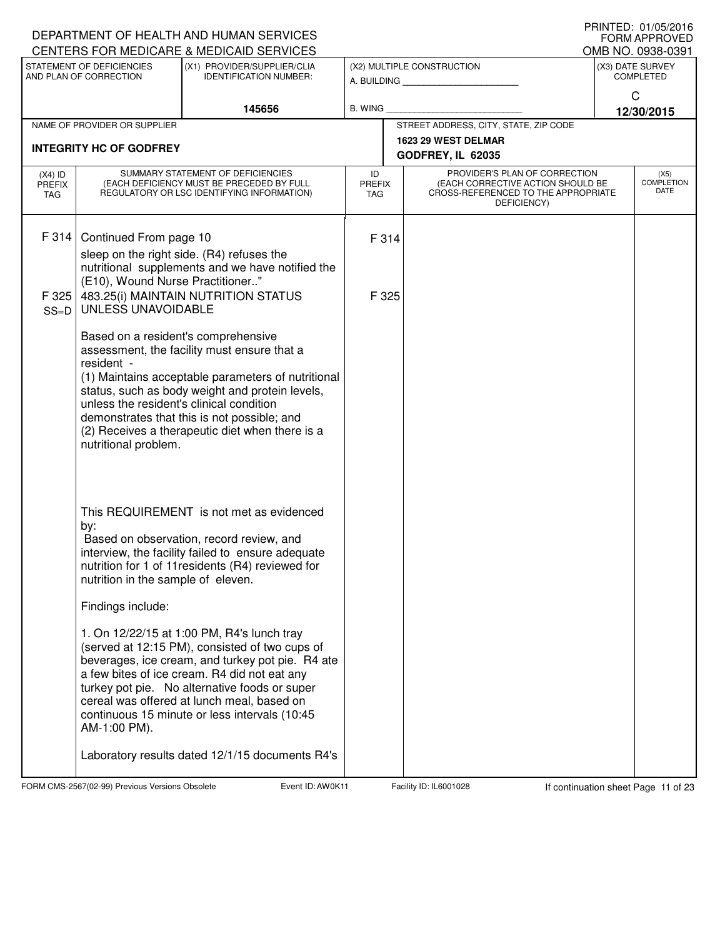| DEPARTMENT OF HEALTH AND HUMAN SERVICES |                                                                                                                                                                                                                                                                                                                                                                                 | FRINTED. UT/U3/ZUTO<br><b>FORM APPROVED</b><br>OMB NO. 0938-0391                                                                                                                                                                                                                                                                                 |                            |                |                                                                                                                          |                                      |                                   |
|-----------------------------------------|---------------------------------------------------------------------------------------------------------------------------------------------------------------------------------------------------------------------------------------------------------------------------------------------------------------------------------------------------------------------------------|--------------------------------------------------------------------------------------------------------------------------------------------------------------------------------------------------------------------------------------------------------------------------------------------------------------------------------------------------|----------------------------|----------------|--------------------------------------------------------------------------------------------------------------------------|--------------------------------------|-----------------------------------|
|                                         | STATEMENT OF DEFICIENCIES<br>AND PLAN OF CORRECTION                                                                                                                                                                                                                                                                                                                             | CENTERS FOR MEDICARE & MEDICAID SERVICES<br>(X1) PROVIDER/SUPPLIER/CLIA<br><b>IDENTIFICATION NUMBER:</b>                                                                                                                                                                                                                                         |                            |                | (X2) MULTIPLE CONSTRUCTION                                                                                               | (X3) DATE SURVEY<br><b>COMPLETED</b> |                                   |
|                                         |                                                                                                                                                                                                                                                                                                                                                                                 |                                                                                                                                                                                                                                                                                                                                                  |                            |                | A. BUILDING                                                                                                              |                                      | C                                 |
|                                         |                                                                                                                                                                                                                                                                                                                                                                                 | 145656                                                                                                                                                                                                                                                                                                                                           | <b>B. WING</b>             |                |                                                                                                                          |                                      | 12/30/2015                        |
|                                         | NAME OF PROVIDER OR SUPPLIER                                                                                                                                                                                                                                                                                                                                                    |                                                                                                                                                                                                                                                                                                                                                  |                            |                | STREET ADDRESS, CITY, STATE, ZIP CODE<br>1623 29 WEST DELMAR                                                             |                                      |                                   |
|                                         | <b>INTEGRITY HC OF GODFREY</b>                                                                                                                                                                                                                                                                                                                                                  |                                                                                                                                                                                                                                                                                                                                                  |                            |                | GODFREY, IL 62035                                                                                                        |                                      |                                   |
| $(X4)$ ID<br><b>PREFIX</b><br>TAG       |                                                                                                                                                                                                                                                                                                                                                                                 | SUMMARY STATEMENT OF DEFICIENCIES<br>(EACH DEFICIENCY MUST BE PRECEDED BY FULL<br>REGULATORY OR LSC IDENTIFYING INFORMATION)                                                                                                                                                                                                                     | ID<br><b>PREFIX</b><br>TAG |                | PROVIDER'S PLAN OF CORRECTION<br>(EACH CORRECTIVE ACTION SHOULD BE<br>CROSS-REFERENCED TO THE APPROPRIATE<br>DEFICIENCY) |                                      | (X5)<br><b>COMPLETION</b><br>DATE |
| F 314<br>F 325<br>$SS=D$                | Continued From page 10<br>(E10), Wound Nurse Practitioner"<br>UNLESS UNAVOIDABLE                                                                                                                                                                                                                                                                                                | sleep on the right side. (R4) refuses the<br>nutritional supplements and we have notified the<br>483.25(i) MAINTAIN NUTRITION STATUS                                                                                                                                                                                                             |                            | F 314<br>F 325 |                                                                                                                          |                                      |                                   |
|                                         | Based on a resident's comprehensive<br>assessment, the facility must ensure that a<br>resident -<br>(1) Maintains acceptable parameters of nutritional<br>status, such as body weight and protein levels,<br>unless the resident's clinical condition<br>demonstrates that this is not possible; and<br>(2) Receives a therapeutic diet when there is a<br>nutritional problem. |                                                                                                                                                                                                                                                                                                                                                  |                            |                |                                                                                                                          |                                      |                                   |
|                                         | by:<br>nutrition in the sample of eleven.                                                                                                                                                                                                                                                                                                                                       | This REQUIREMENT is not met as evidenced<br>Based on observation, record review, and<br>interview, the facility failed to ensure adequate<br>nutrition for 1 of 11 residents (R4) reviewed for                                                                                                                                                   |                            |                |                                                                                                                          |                                      |                                   |
|                                         | Findings include:                                                                                                                                                                                                                                                                                                                                                               |                                                                                                                                                                                                                                                                                                                                                  |                            |                |                                                                                                                          |                                      |                                   |
|                                         | AM-1:00 PM).                                                                                                                                                                                                                                                                                                                                                                    | 1. On 12/22/15 at 1:00 PM, R4's lunch tray<br>(served at 12:15 PM), consisted of two cups of<br>beverages, ice cream, and turkey pot pie. R4 ate<br>a few bites of ice cream. R4 did not eat any<br>turkey pot pie. No alternative foods or super<br>cereal was offered at lunch meal, based on<br>continuous 15 minute or less intervals (10:45 |                            |                |                                                                                                                          |                                      |                                   |
|                                         |                                                                                                                                                                                                                                                                                                                                                                                 | Laboratory results dated 12/1/15 documents R4's                                                                                                                                                                                                                                                                                                  |                            |                |                                                                                                                          |                                      |                                   |

FORM CMS-2567(02-99) Previous Versions Obsolete **AUD: AWOK Event ID: AW0K11** Facility ID: IL6001028 If continuation sheet Page 11 of 23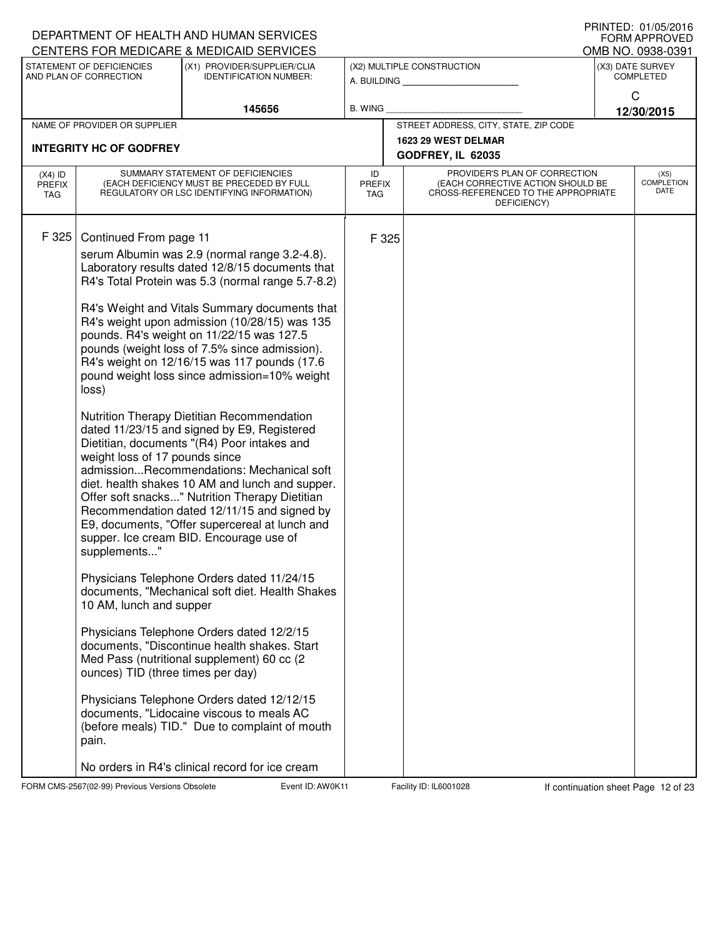|                                   |                                                                   | DEPARTMENT OF HEALTH AND HUMAN SERVICES                                                                                                                                                                                                                                                                                                                                                                                                                                                                                                                                                                                                                                                           |                                   |                                                                                                                          | <b>FORM APPROVED</b>                 |
|-----------------------------------|-------------------------------------------------------------------|---------------------------------------------------------------------------------------------------------------------------------------------------------------------------------------------------------------------------------------------------------------------------------------------------------------------------------------------------------------------------------------------------------------------------------------------------------------------------------------------------------------------------------------------------------------------------------------------------------------------------------------------------------------------------------------------------|-----------------------------------|--------------------------------------------------------------------------------------------------------------------------|--------------------------------------|
|                                   |                                                                   | CENTERS FOR MEDICARE & MEDICAID SERVICES                                                                                                                                                                                                                                                                                                                                                                                                                                                                                                                                                                                                                                                          |                                   |                                                                                                                          | OMB NO. 0938-0391                    |
|                                   | STATEMENT OF DEFICIENCIES<br>AND PLAN OF CORRECTION               | (X1) PROVIDER/SUPPLIER/CLIA<br><b>IDENTIFICATION NUMBER:</b>                                                                                                                                                                                                                                                                                                                                                                                                                                                                                                                                                                                                                                      |                                   | (X2) MULTIPLE CONSTRUCTION<br>A. BUILDING                                                                                | (X3) DATE SURVEY<br><b>COMPLETED</b> |
|                                   |                                                                   | 145656                                                                                                                                                                                                                                                                                                                                                                                                                                                                                                                                                                                                                                                                                            | <b>B. WING</b>                    |                                                                                                                          | C<br>12/30/2015                      |
|                                   | NAME OF PROVIDER OR SUPPLIER                                      |                                                                                                                                                                                                                                                                                                                                                                                                                                                                                                                                                                                                                                                                                                   |                                   | STREET ADDRESS, CITY, STATE, ZIP CODE                                                                                    |                                      |
|                                   | <b>INTEGRITY HC OF GODFREY</b>                                    |                                                                                                                                                                                                                                                                                                                                                                                                                                                                                                                                                                                                                                                                                                   |                                   | 1623 29 WEST DELMAR<br>GODFREY, IL 62035                                                                                 |                                      |
| $(X4)$ ID<br><b>PREFIX</b><br>TAG |                                                                   | SUMMARY STATEMENT OF DEFICIENCIES<br>(EACH DEFICIENCY MUST BE PRECEDED BY FULL<br>REGULATORY OR LSC IDENTIFYING INFORMATION)                                                                                                                                                                                                                                                                                                                                                                                                                                                                                                                                                                      | ID<br><b>PREFIX</b><br><b>TAG</b> | PROVIDER'S PLAN OF CORRECTION<br>(EACH CORRECTIVE ACTION SHOULD BE<br>CROSS-REFERENCED TO THE APPROPRIATE<br>DEFICIENCY) | (X5)<br>COMPLETION<br>DATE           |
| F 325                             | Continued From page 11<br>loss)<br>weight loss of 17 pounds since | serum Albumin was 2.9 (normal range 3.2-4.8).<br>Laboratory results dated 12/8/15 documents that<br>R4's Total Protein was 5.3 (normal range 5.7-8.2)<br>R4's Weight and Vitals Summary documents that<br>R4's weight upon admission (10/28/15) was 135<br>pounds. R4's weight on 11/22/15 was 127.5<br>pounds (weight loss of 7.5% since admission).<br>R4's weight on 12/16/15 was 117 pounds (17.6<br>pound weight loss since admission=10% weight<br>Nutrition Therapy Dietitian Recommendation<br>dated 11/23/15 and signed by E9, Registered<br>Dietitian, documents "(R4) Poor intakes and<br>admissionRecommendations: Mechanical soft<br>diet. health shakes 10 AM and lunch and supper. | F 325                             |                                                                                                                          |                                      |
|                                   | supplements"<br>10 AM, lunch and supper                           | Offer soft snacks" Nutrition Therapy Dietitian<br>Recommendation dated 12/11/15 and signed by<br>E9, documents, "Offer supercereal at lunch and<br>supper. Ice cream BID. Encourage use of<br>Physicians Telephone Orders dated 11/24/15<br>documents, "Mechanical soft diet. Health Shakes                                                                                                                                                                                                                                                                                                                                                                                                       |                                   |                                                                                                                          |                                      |
|                                   | ounces) TID (three times per day)                                 | Physicians Telephone Orders dated 12/2/15<br>documents, "Discontinue health shakes. Start<br>Med Pass (nutritional supplement) 60 cc (2                                                                                                                                                                                                                                                                                                                                                                                                                                                                                                                                                           |                                   |                                                                                                                          |                                      |
|                                   | pain.                                                             | Physicians Telephone Orders dated 12/12/15<br>documents, "Lidocaine viscous to meals AC<br>(before meals) TID." Due to complaint of mouth                                                                                                                                                                                                                                                                                                                                                                                                                                                                                                                                                         |                                   |                                                                                                                          |                                      |
|                                   |                                                                   | No orders in R4's clinical record for ice cream                                                                                                                                                                                                                                                                                                                                                                                                                                                                                                                                                                                                                                                   |                                   |                                                                                                                          |                                      |

FORM CMS-2567(02-99) Previous Versions Obsolete **Auch Event ID: AW0K11** Facility ID: IL6001028 If continuation sheet Page 12 of 23

DEPARTMENT OF HEALTH AND HUMAN SERVICES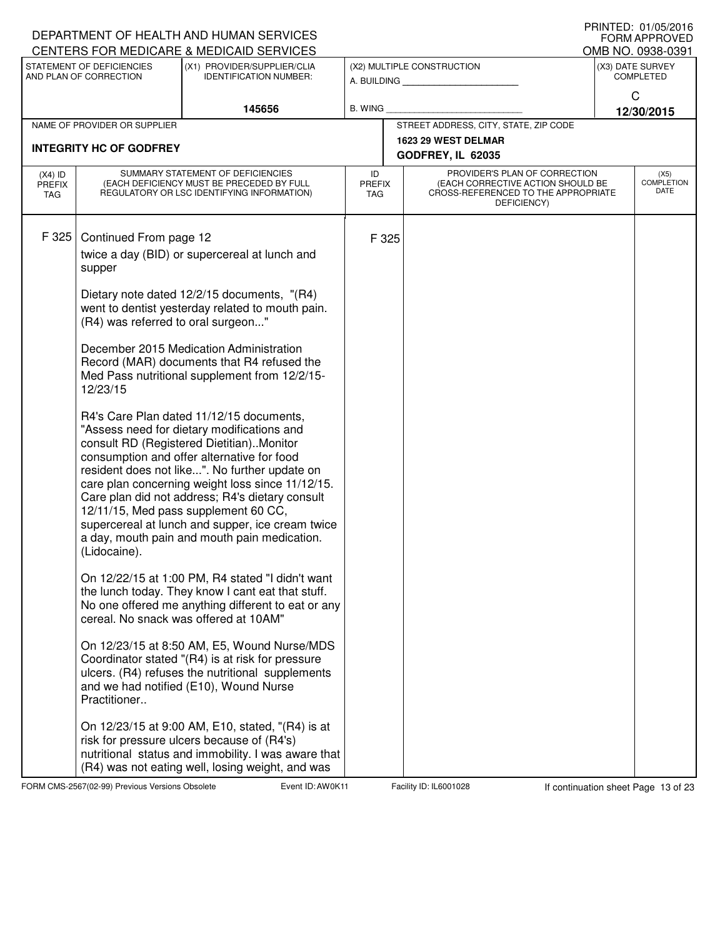|                                   |                                                                                                                    | DEPARTMENT OF HEALTH AND HUMAN SERVICES<br>CENTERS FOR MEDICARE & MEDICAID SERVICES                                                                                                                                                                                                                                                                                                                                                                                                                                                                                                                                                                                                                                                                                                                                                                                                                                                                                                                                                                                                                                                                                                           |                            |       |                                                                                                                          | FRIIVIEU. VIIUSIZUIO<br><b>FORM APPROVED</b><br>OMB NO. 0938-0391 |
|-----------------------------------|--------------------------------------------------------------------------------------------------------------------|-----------------------------------------------------------------------------------------------------------------------------------------------------------------------------------------------------------------------------------------------------------------------------------------------------------------------------------------------------------------------------------------------------------------------------------------------------------------------------------------------------------------------------------------------------------------------------------------------------------------------------------------------------------------------------------------------------------------------------------------------------------------------------------------------------------------------------------------------------------------------------------------------------------------------------------------------------------------------------------------------------------------------------------------------------------------------------------------------------------------------------------------------------------------------------------------------|----------------------------|-------|--------------------------------------------------------------------------------------------------------------------------|-------------------------------------------------------------------|
|                                   | STATEMENT OF DEFICIENCIES<br>AND PLAN OF CORRECTION                                                                | (X1) PROVIDER/SUPPLIER/CLIA<br><b>IDENTIFICATION NUMBER:</b>                                                                                                                                                                                                                                                                                                                                                                                                                                                                                                                                                                                                                                                                                                                                                                                                                                                                                                                                                                                                                                                                                                                                  |                            |       | (X2) MULTIPLE CONSTRUCTION<br>A. BUILDING                                                                                | (X3) DATE SURVEY<br><b>COMPLETED</b>                              |
|                                   |                                                                                                                    | 145656                                                                                                                                                                                                                                                                                                                                                                                                                                                                                                                                                                                                                                                                                                                                                                                                                                                                                                                                                                                                                                                                                                                                                                                        | <b>B. WING</b>             |       |                                                                                                                          | C<br>12/30/2015                                                   |
|                                   | NAME OF PROVIDER OR SUPPLIER                                                                                       |                                                                                                                                                                                                                                                                                                                                                                                                                                                                                                                                                                                                                                                                                                                                                                                                                                                                                                                                                                                                                                                                                                                                                                                               |                            |       | STREET ADDRESS, CITY, STATE, ZIP CODE                                                                                    |                                                                   |
|                                   | <b>INTEGRITY HC OF GODFREY</b>                                                                                     |                                                                                                                                                                                                                                                                                                                                                                                                                                                                                                                                                                                                                                                                                                                                                                                                                                                                                                                                                                                                                                                                                                                                                                                               |                            |       | 1623 29 WEST DELMAR<br>GODFREY, IL 62035                                                                                 |                                                                   |
| $(X4)$ ID<br><b>PREFIX</b><br>TAG |                                                                                                                    | SUMMARY STATEMENT OF DEFICIENCIES<br>(EACH DEFICIENCY MUST BE PRECEDED BY FULL<br>REGULATORY OR LSC IDENTIFYING INFORMATION)                                                                                                                                                                                                                                                                                                                                                                                                                                                                                                                                                                                                                                                                                                                                                                                                                                                                                                                                                                                                                                                                  | ID<br><b>PREFIX</b><br>TAG |       | PROVIDER'S PLAN OF CORRECTION<br>(EACH CORRECTIVE ACTION SHOULD BE<br>CROSS-REFERENCED TO THE APPROPRIATE<br>DEFICIENCY) | (X5)<br><b>COMPLETION</b><br>DATE                                 |
| F 325                             | Continued From page 12<br>supper<br>(R4) was referred to oral surgeon"<br>12/23/15<br>(Lidocaine).<br>Practitioner | twice a day (BID) or supercereal at lunch and<br>Dietary note dated 12/2/15 documents, "(R4)<br>went to dentist yesterday related to mouth pain.<br>December 2015 Medication Administration<br>Record (MAR) documents that R4 refused the<br>Med Pass nutritional supplement from 12/2/15-<br>R4's Care Plan dated 11/12/15 documents,<br>"Assess need for dietary modifications and<br>consult RD (Registered Dietitian). Monitor<br>consumption and offer alternative for food<br>resident does not like". No further update on<br>care plan concerning weight loss since 11/12/15.<br>Care plan did not address; R4's dietary consult<br>12/11/15, Med pass supplement 60 CC,<br>supercereal at lunch and supper, ice cream twice<br>a day, mouth pain and mouth pain medication.<br>On 12/22/15 at 1:00 PM, R4 stated "I didn't want<br>the lunch today. They know I cant eat that stuff.<br>No one offered me anything different to eat or any<br>cereal. No snack was offered at 10AM"<br>On 12/23/15 at 8:50 AM, E5, Wound Nurse/MDS<br>Coordinator stated "(R4) is at risk for pressure<br>ulcers. (R4) refuses the nutritional supplements<br>and we had notified (E10), Wound Nurse |                            | F 325 |                                                                                                                          |                                                                   |
|                                   |                                                                                                                    | On 12/23/15 at 9:00 AM, E10, stated, "(R4) is at<br>risk for pressure ulcers because of (R4's)<br>nutritional status and immobility. I was aware that<br>(R4) was not eating well, losing weight, and was                                                                                                                                                                                                                                                                                                                                                                                                                                                                                                                                                                                                                                                                                                                                                                                                                                                                                                                                                                                     |                            |       |                                                                                                                          |                                                                   |

FORM CMS-2567(02-99) Previous Versions Obsolete **AUD: AWOK Event ID: AW0K11** Facility ID: IL6001028 If continuation sheet Page 13 of 23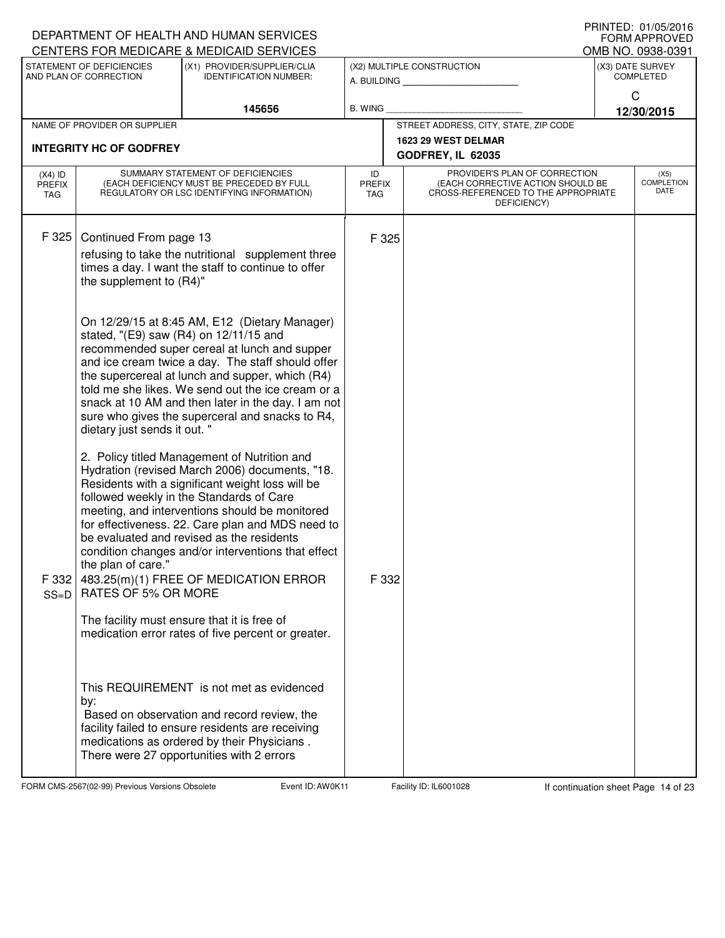|                                   |                                                   | DEPARTMENT OF HEALTH AND HUMAN SERVICES<br>CENTERS FOR MEDICARE & MEDICAID SERVICES                                                                                                                                                                                                                                                                                                                                                              |                                   |                                                                                                                          |              | FORM APPROVED<br>OMB NO. 0938-0391 |
|-----------------------------------|---------------------------------------------------|--------------------------------------------------------------------------------------------------------------------------------------------------------------------------------------------------------------------------------------------------------------------------------------------------------------------------------------------------------------------------------------------------------------------------------------------------|-----------------------------------|--------------------------------------------------------------------------------------------------------------------------|--------------|------------------------------------|
|                                   | STATEMENT OF DEFICIENCIES                         | (X1) PROVIDER/SUPPLIER/CLIA                                                                                                                                                                                                                                                                                                                                                                                                                      |                                   | (X2) MULTIPLE CONSTRUCTION                                                                                               |              | (X3) DATE SURVEY                   |
|                                   | AND PLAN OF CORRECTION                            | <b>IDENTIFICATION NUMBER:</b>                                                                                                                                                                                                                                                                                                                                                                                                                    |                                   | A. BUILDING <b>A.</b> BUILDING                                                                                           | $\mathsf{C}$ | <b>COMPLETED</b>                   |
|                                   |                                                   | 145656                                                                                                                                                                                                                                                                                                                                                                                                                                           | B. WING                           |                                                                                                                          |              | 12/30/2015                         |
|                                   | NAME OF PROVIDER OR SUPPLIER                      |                                                                                                                                                                                                                                                                                                                                                                                                                                                  |                                   | STREET ADDRESS, CITY, STATE, ZIP CODE                                                                                    |              |                                    |
|                                   | <b>INTEGRITY HC OF GODFREY</b>                    |                                                                                                                                                                                                                                                                                                                                                                                                                                                  |                                   | 1623 29 WEST DELMAR                                                                                                      |              |                                    |
|                                   |                                                   |                                                                                                                                                                                                                                                                                                                                                                                                                                                  |                                   | GODFREY, IL 62035                                                                                                        |              |                                    |
| $(X4)$ ID<br><b>PREFIX</b><br>TAG |                                                   | SUMMARY STATEMENT OF DEFICIENCIES<br>(EACH DEFICIENCY MUST BE PRECEDED BY FULL<br>REGULATORY OR LSC IDENTIFYING INFORMATION)                                                                                                                                                                                                                                                                                                                     | ID<br><b>PREFIX</b><br><b>TAG</b> | PROVIDER'S PLAN OF CORRECTION<br>(EACH CORRECTIVE ACTION SHOULD BE<br>CROSS-REFERENCED TO THE APPROPRIATE<br>DEFICIENCY) |              | (X5)<br>COMPLETION<br>DATE         |
| F 325                             | Continued From page 13<br>the supplement to (R4)" | refusing to take the nutritional supplement three<br>times a day. I want the staff to continue to offer                                                                                                                                                                                                                                                                                                                                          | F 325                             |                                                                                                                          |              |                                    |
|                                   | dietary just sends it out. "                      | On 12/29/15 at 8:45 AM, E12 (Dietary Manager)<br>stated, "(E9) saw (R4) on 12/11/15 and<br>recommended super cereal at lunch and supper<br>and ice cream twice a day. The staff should offer<br>the supercereal at lunch and supper, which (R4)<br>told me she likes. We send out the ice cream or a<br>snack at 10 AM and then later in the day. I am not<br>sure who gives the superceral and snacks to R4,                                    |                                   |                                                                                                                          |              |                                    |
| F 332<br>$SS=D$                   | the plan of care."<br>RATES OF 5% OR MORE         | 2. Policy titled Management of Nutrition and<br>Hydration (revised March 2006) documents, "18.<br>Residents with a significant weight loss will be<br>followed weekly in the Standards of Care<br>meeting, and interventions should be monitored<br>for effectiveness. 22. Care plan and MDS need to<br>be evaluated and revised as the residents<br>condition changes and/or interventions that effect<br>483.25(m)(1) FREE OF MEDICATION ERROR | F 332                             |                                                                                                                          |              |                                    |
|                                   |                                                   | The facility must ensure that it is free of<br>medication error rates of five percent or greater.                                                                                                                                                                                                                                                                                                                                                |                                   |                                                                                                                          |              |                                    |
|                                   | by:                                               | This REQUIREMENT is not met as evidenced<br>Based on observation and record review, the<br>facility failed to ensure residents are receiving<br>medications as ordered by their Physicians.<br>There were 27 opportunities with 2 errors                                                                                                                                                                                                         |                                   |                                                                                                                          |              |                                    |

FORM CMS-2567(02-99) Previous Versions Obsolete **Auch Event ID: AW0K11** Facility ID: IL6001028 If continuation sheet Page 14 of 23

DEPARTMENT OF HEALTH AND HUMAN SERVICES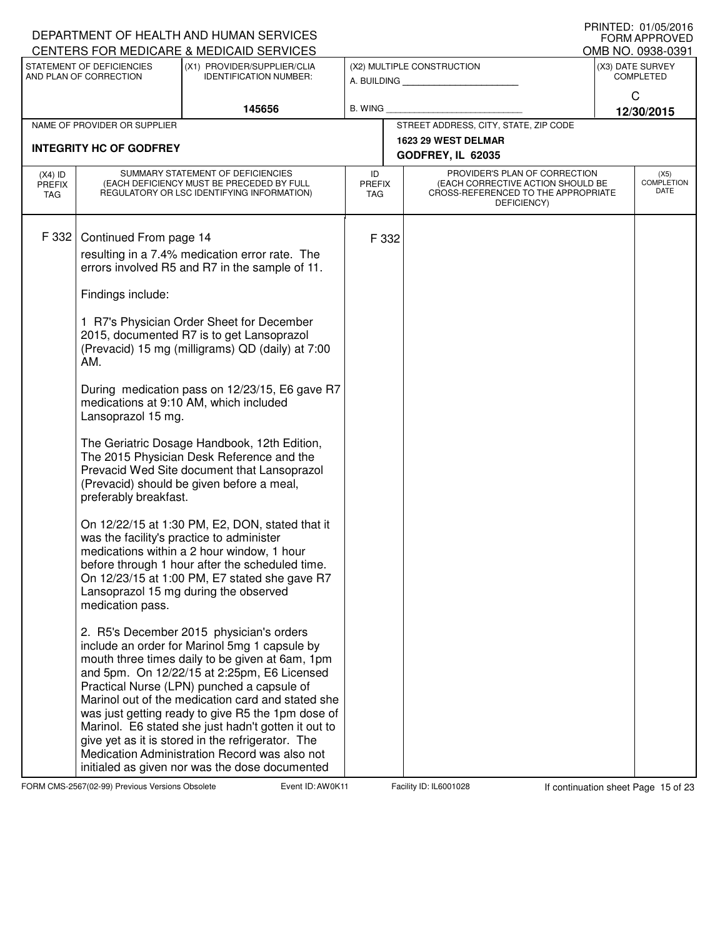|                                   |                                                     | DEPARTMENT OF HEALTH AND HUMAN SERVICES<br>CENTERS FOR MEDICARE & MEDICAID SERVICES                                                                                                                                                                                                                                                                                                                                                                                                                                                                                |                                   |       |                                                                                                                          |              | IIUINILLY. VI/VJ/ZVIV<br><b>FORM APPROVED</b><br>OMB NO. 0938-0391 |
|-----------------------------------|-----------------------------------------------------|--------------------------------------------------------------------------------------------------------------------------------------------------------------------------------------------------------------------------------------------------------------------------------------------------------------------------------------------------------------------------------------------------------------------------------------------------------------------------------------------------------------------------------------------------------------------|-----------------------------------|-------|--------------------------------------------------------------------------------------------------------------------------|--------------|--------------------------------------------------------------------|
|                                   | STATEMENT OF DEFICIENCIES<br>AND PLAN OF CORRECTION | (X1) PROVIDER/SUPPLIER/CLIA<br><b>IDENTIFICATION NUMBER:</b>                                                                                                                                                                                                                                                                                                                                                                                                                                                                                                       |                                   |       | (X2) MULTIPLE CONSTRUCTION<br>A. BUILDING                                                                                |              | (X3) DATE SURVEY<br><b>COMPLETED</b>                               |
|                                   |                                                     | 145656                                                                                                                                                                                                                                                                                                                                                                                                                                                                                                                                                             | B. WING                           |       |                                                                                                                          | $\mathsf{C}$ | 12/30/2015                                                         |
|                                   | NAME OF PROVIDER OR SUPPLIER                        |                                                                                                                                                                                                                                                                                                                                                                                                                                                                                                                                                                    |                                   |       | STREET ADDRESS, CITY, STATE, ZIP CODE                                                                                    |              |                                                                    |
|                                   | <b>INTEGRITY HC OF GODFREY</b>                      |                                                                                                                                                                                                                                                                                                                                                                                                                                                                                                                                                                    |                                   |       | 1623 29 WEST DELMAR<br>GODFREY, IL 62035                                                                                 |              |                                                                    |
| $(X4)$ ID<br><b>PREFIX</b><br>TAG |                                                     | SUMMARY STATEMENT OF DEFICIENCIES<br>(EACH DEFICIENCY MUST BE PRECEDED BY FULL<br>REGULATORY OR LSC IDENTIFYING INFORMATION)                                                                                                                                                                                                                                                                                                                                                                                                                                       | ID<br><b>PREFIX</b><br><b>TAG</b> |       | PROVIDER'S PLAN OF CORRECTION<br>(EACH CORRECTIVE ACTION SHOULD BE<br>CROSS-REFERENCED TO THE APPROPRIATE<br>DEFICIENCY) |              | (X5)<br><b>COMPLETION</b><br>DATE                                  |
| F 332                             | Continued From page 14<br>Findings include:         | resulting in a 7.4% medication error rate. The<br>errors involved R5 and R7 in the sample of 11.                                                                                                                                                                                                                                                                                                                                                                                                                                                                   |                                   | F 332 |                                                                                                                          |              |                                                                    |
|                                   | AM.                                                 | 1 R7's Physician Order Sheet for December<br>2015, documented R7 is to get Lansoprazol<br>(Prevacid) 15 mg (milligrams) QD (daily) at 7:00                                                                                                                                                                                                                                                                                                                                                                                                                         |                                   |       |                                                                                                                          |              |                                                                    |
|                                   | Lansoprazol 15 mg.                                  | During medication pass on 12/23/15, E6 gave R7<br>medications at 9:10 AM, which included                                                                                                                                                                                                                                                                                                                                                                                                                                                                           |                                   |       |                                                                                                                          |              |                                                                    |
|                                   | preferably breakfast.                               | The Geriatric Dosage Handbook, 12th Edition,<br>The 2015 Physician Desk Reference and the<br>Prevacid Wed Site document that Lansoprazol<br>(Prevacid) should be given before a meal,                                                                                                                                                                                                                                                                                                                                                                              |                                   |       |                                                                                                                          |              |                                                                    |
|                                   | medication pass.                                    | On 12/22/15 at 1:30 PM, E2, DON, stated that it<br>was the facility's practice to administer<br>medications within a 2 hour window, 1 hour<br>before through 1 hour after the scheduled time.<br>On 12/23/15 at 1:00 PM, E7 stated she gave R7<br>Lansoprazol 15 mg during the observed                                                                                                                                                                                                                                                                            |                                   |       |                                                                                                                          |              |                                                                    |
|                                   |                                                     | 2. R5's December 2015 physician's orders<br>include an order for Marinol 5mg 1 capsule by<br>mouth three times daily to be given at 6am, 1pm<br>and 5pm. On 12/22/15 at 2:25pm, E6 Licensed<br>Practical Nurse (LPN) punched a capsule of<br>Marinol out of the medication card and stated she<br>was just getting ready to give R5 the 1pm dose of<br>Marinol. E6 stated she just hadn't gotten it out to<br>give yet as it is stored in the refrigerator. The<br>Medication Administration Record was also not<br>initialed as given nor was the dose documented |                                   |       |                                                                                                                          |              |                                                                    |

FORM CMS-2567(02-99) Previous Versions Obsolete **Auch Event ID: AW0K11** Facility ID: IL6001028 If continuation sheet Page 15 of 23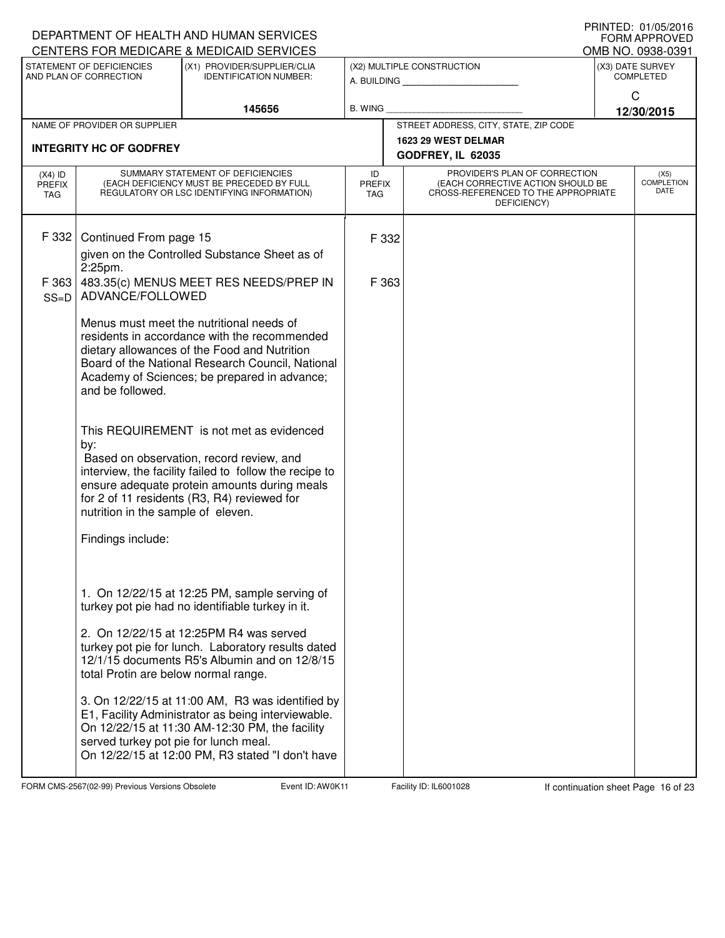|                                   |                                                                                                        | DEPARTMENT OF HEALTH AND HUMAN SERVICES<br>CENTERS FOR MEDICARE & MEDICAID SERVICES                                                                                                                                                                                                                                                                                                                                                                                                           |                     |                                                                                                                          | FRINTED. UT/U3/ZUTO<br><b>FORM APPROVED</b><br>OMB NO. 0938-0391 |
|-----------------------------------|--------------------------------------------------------------------------------------------------------|-----------------------------------------------------------------------------------------------------------------------------------------------------------------------------------------------------------------------------------------------------------------------------------------------------------------------------------------------------------------------------------------------------------------------------------------------------------------------------------------------|---------------------|--------------------------------------------------------------------------------------------------------------------------|------------------------------------------------------------------|
|                                   | STATEMENT OF DEFICIENCIES<br>AND PLAN OF CORRECTION                                                    | (X1) PROVIDER/SUPPLIER/CLIA<br><b>IDENTIFICATION NUMBER:</b>                                                                                                                                                                                                                                                                                                                                                                                                                                  |                     | (X2) MULTIPLE CONSTRUCTION<br>A. BUILDING <b>A.</b> BUILDING                                                             | (X3) DATE SURVEY<br><b>COMPLETED</b>                             |
|                                   |                                                                                                        | 145656                                                                                                                                                                                                                                                                                                                                                                                                                                                                                        | <b>B. WING</b>      |                                                                                                                          | C<br>12/30/2015                                                  |
|                                   | NAME OF PROVIDER OR SUPPLIER                                                                           |                                                                                                                                                                                                                                                                                                                                                                                                                                                                                               |                     | STREET ADDRESS, CITY, STATE, ZIP CODE                                                                                    |                                                                  |
|                                   | <b>INTEGRITY HC OF GODFREY</b>                                                                         |                                                                                                                                                                                                                                                                                                                                                                                                                                                                                               |                     | 1623 29 WEST DELMAR<br>GODFREY, IL 62035                                                                                 |                                                                  |
| $(X4)$ ID<br><b>PREFIX</b><br>TAG |                                                                                                        | SUMMARY STATEMENT OF DEFICIENCIES<br>(EACH DEFICIENCY MUST BE PRECEDED BY FULL<br>REGULATORY OR LSC IDENTIFYING INFORMATION)                                                                                                                                                                                                                                                                                                                                                                  | ID<br>PREFIX<br>TAG | PROVIDER'S PLAN OF CORRECTION<br>(EACH CORRECTIVE ACTION SHOULD BE<br>CROSS-REFERENCED TO THE APPROPRIATE<br>DEFICIENCY) | (X5)<br><b>COMPLETION</b><br>DATE                                |
| F 332<br>F 363                    | Continued From page 15<br>2:25pm.                                                                      | given on the Controlled Substance Sheet as of<br>483.35(c) MENUS MEET RES NEEDS/PREP IN                                                                                                                                                                                                                                                                                                                                                                                                       | F 332<br>F 363      |                                                                                                                          |                                                                  |
| $SS=D$                            | ADVANCE/FOLLOWED<br>and be followed.<br>by:<br>nutrition in the sample of eleven.<br>Findings include: | Menus must meet the nutritional needs of<br>residents in accordance with the recommended<br>dietary allowances of the Food and Nutrition<br>Board of the National Research Council, National<br>Academy of Sciences; be prepared in advance;<br>This REQUIREMENT is not met as evidenced<br>Based on observation, record review, and<br>interview, the facility failed to follow the recipe to<br>ensure adequate protein amounts during meals<br>for 2 of 11 residents (R3, R4) reviewed for |                     |                                                                                                                          |                                                                  |
|                                   | total Protin are below normal range.<br>served turkey pot pie for lunch meal.                          | 1. On 12/22/15 at 12:25 PM, sample serving of<br>turkey pot pie had no identifiable turkey in it.<br>2. On 12/22/15 at 12:25PM R4 was served<br>turkey pot pie for lunch. Laboratory results dated<br>12/1/15 documents R5's Albumin and on 12/8/15<br>3. On 12/22/15 at 11:00 AM, R3 was identified by<br>E1, Facility Administrator as being interviewable.<br>On 12/22/15 at 11:30 AM-12:30 PM, the facility<br>On 12/22/15 at 12:00 PM, R3 stated "I don't have                           |                     |                                                                                                                          |                                                                  |

FORM CMS-2567(02-99) Previous Versions Obsolete **AUD: AWOK Event ID: AW0K11** Facility ID: IL6001028 If continuation sheet Page 16 of 23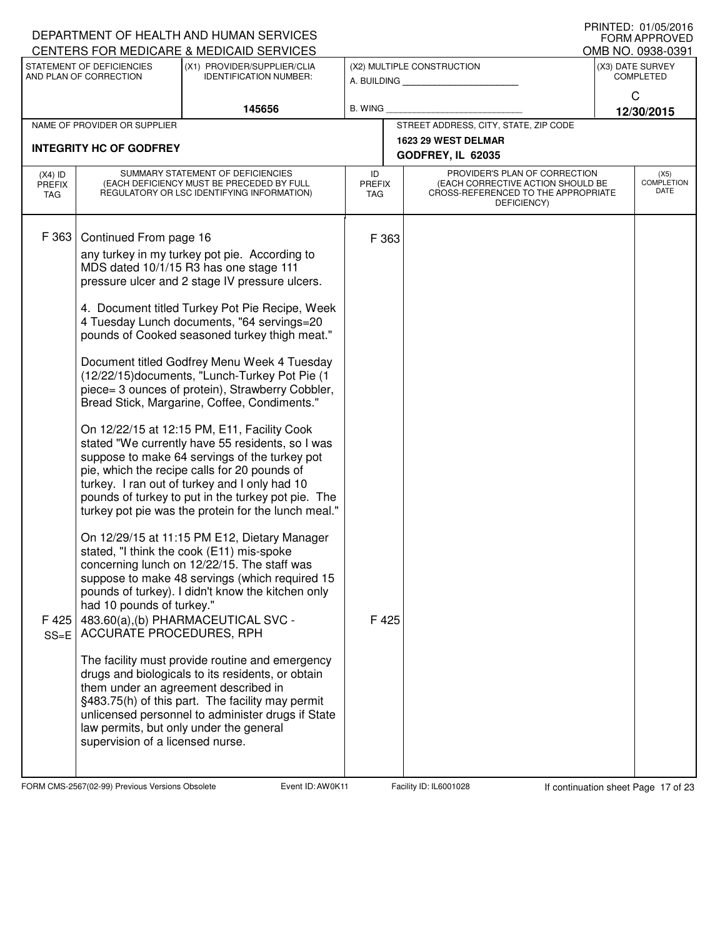|                                   |                                                              | DEPARTMENT OF HEALTH AND HUMAN SERVICES                                                                                                                                                                                                                                                                                                                        |                             |                                                                                                                          | $1$ INNILD. $0$ I/UJ/LUIU<br><b>FORM APPROVED</b> |
|-----------------------------------|--------------------------------------------------------------|----------------------------------------------------------------------------------------------------------------------------------------------------------------------------------------------------------------------------------------------------------------------------------------------------------------------------------------------------------------|-----------------------------|--------------------------------------------------------------------------------------------------------------------------|---------------------------------------------------|
|                                   | STATEMENT OF DEFICIENCIES                                    | CENTERS FOR MEDICARE & MEDICAID SERVICES<br>(X1) PROVIDER/SUPPLIER/CLIA                                                                                                                                                                                                                                                                                        |                             | (X2) MULTIPLE CONSTRUCTION                                                                                               | OMB NO. 0938-0391<br>(X3) DATE SURVEY             |
|                                   | AND PLAN OF CORRECTION                                       | <b>IDENTIFICATION NUMBER:</b>                                                                                                                                                                                                                                                                                                                                  |                             | A. BUILDING                                                                                                              | <b>COMPLETED</b>                                  |
|                                   |                                                              |                                                                                                                                                                                                                                                                                                                                                                |                             |                                                                                                                          | C                                                 |
|                                   | NAME OF PROVIDER OR SUPPLIER                                 | 145656                                                                                                                                                                                                                                                                                                                                                         | <b>B. WING</b>              | STREET ADDRESS, CITY, STATE, ZIP CODE                                                                                    | 12/30/2015                                        |
|                                   |                                                              |                                                                                                                                                                                                                                                                                                                                                                |                             | 1623 29 WEST DELMAR                                                                                                      |                                                   |
|                                   | <b>INTEGRITY HC OF GODFREY</b>                               |                                                                                                                                                                                                                                                                                                                                                                |                             | GODFREY, IL 62035                                                                                                        |                                                   |
| $(X4)$ ID<br><b>PREFIX</b><br>TAG |                                                              | SUMMARY STATEMENT OF DEFICIENCIES<br>(EACH DEFICIENCY MUST BE PRECEDED BY FULL<br>REGULATORY OR LSC IDENTIFYING INFORMATION)                                                                                                                                                                                                                                   | ID<br><b>PREFIX</b><br>TAG. | PROVIDER'S PLAN OF CORRECTION<br>(EACH CORRECTIVE ACTION SHOULD BE<br>CROSS-REFERENCED TO THE APPROPRIATE<br>DEFICIENCY) | (X5)<br><b>COMPLETION</b><br><b>DATE</b>          |
| F 363                             | Continued From page 16                                       | any turkey in my turkey pot pie. According to<br>MDS dated 10/1/15 R3 has one stage 111<br>pressure ulcer and 2 stage IV pressure ulcers.<br>4. Document titled Turkey Pot Pie Recipe, Week<br>4 Tuesday Lunch documents, "64 servings=20<br>pounds of Cooked seasoned turkey thigh meat."                                                                     | F 363                       |                                                                                                                          |                                                   |
|                                   |                                                              | Document titled Godfrey Menu Week 4 Tuesday<br>(12/22/15)documents, "Lunch-Turkey Pot Pie (1<br>piece= 3 ounces of protein), Strawberry Cobbler,<br>Bread Stick, Margarine, Coffee, Condiments."                                                                                                                                                               |                             |                                                                                                                          |                                                   |
|                                   |                                                              | On 12/22/15 at 12:15 PM, E11, Facility Cook<br>stated "We currently have 55 residents, so I was<br>suppose to make 64 servings of the turkey pot<br>pie, which the recipe calls for 20 pounds of<br>turkey. I ran out of turkey and I only had 10<br>pounds of turkey to put in the turkey pot pie. The<br>turkey pot pie was the protein for the lunch meal." |                             |                                                                                                                          |                                                   |
| F 425<br>$SS=E$                   | had 10 pounds of turkey."<br><b>ACCURATE PROCEDURES, RPH</b> | On 12/29/15 at 11:15 PM E12, Dietary Manager<br>stated, "I think the cook (E11) mis-spoke<br>concerning lunch on 12/22/15. The staff was<br>suppose to make 48 servings (which required 15<br>pounds of turkey). I didn't know the kitchen only<br>483.60(a),(b) PHARMACEUTICAL SVC -                                                                          | F 425                       |                                                                                                                          |                                                   |
|                                   | supervision of a licensed nurse.                             | The facility must provide routine and emergency<br>drugs and biologicals to its residents, or obtain<br>them under an agreement described in<br>§483.75(h) of this part. The facility may permit<br>unlicensed personnel to administer drugs if State<br>law permits, but only under the general                                                               |                             |                                                                                                                          |                                                   |

FORM CMS-2567(02-99) Previous Versions Obsolete **AUD: AWOK Event ID: AW0K11** Facility ID: IL6001028 If continuation sheet Page 17 of 23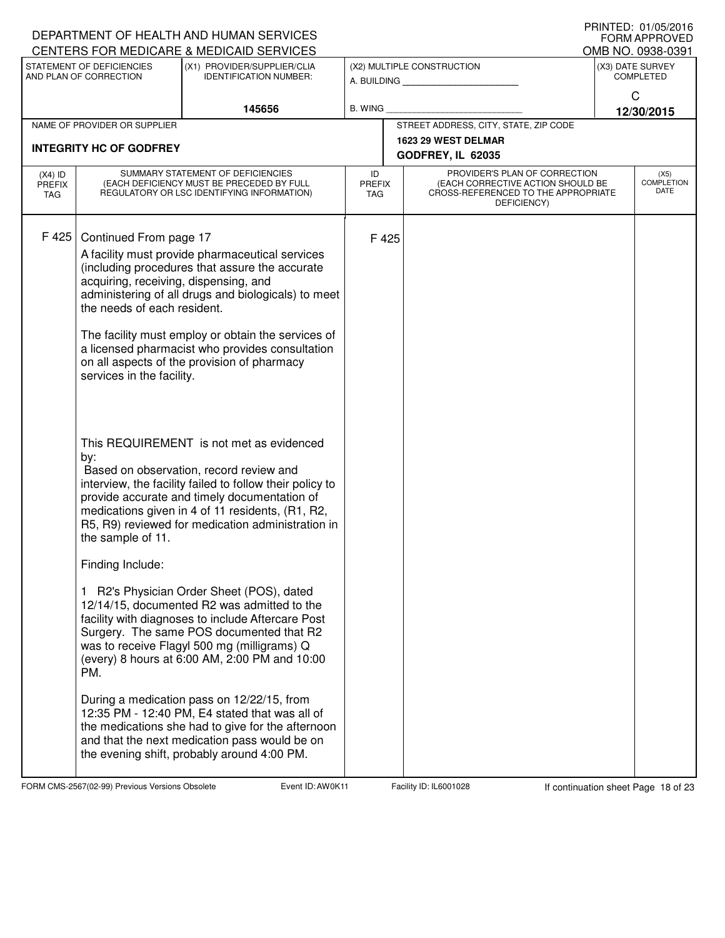|                                          |                                                                                                                                                                             | DEPARTMENT OF HEALTH AND HUMAN SERVICES<br>CENTERS FOR MEDICARE & MEDICAID SERVICES                                                                                                                                                                                                                                                                                                                                                                                                                                                                                                                                          |                                   |       |                                                                                                                          | IIUINILLU. VI/VJ/ZVIV<br><b>FORM APPROVED</b> |
|------------------------------------------|-----------------------------------------------------------------------------------------------------------------------------------------------------------------------------|------------------------------------------------------------------------------------------------------------------------------------------------------------------------------------------------------------------------------------------------------------------------------------------------------------------------------------------------------------------------------------------------------------------------------------------------------------------------------------------------------------------------------------------------------------------------------------------------------------------------------|-----------------------------------|-------|--------------------------------------------------------------------------------------------------------------------------|-----------------------------------------------|
|                                          | STATEMENT OF DEFICIENCIES                                                                                                                                                   | (X1) PROVIDER/SUPPLIER/CLIA                                                                                                                                                                                                                                                                                                                                                                                                                                                                                                                                                                                                  |                                   |       | (X2) MULTIPLE CONSTRUCTION                                                                                               | OMB NO. 0938-0391<br>(X3) DATE SURVEY         |
|                                          | AND PLAN OF CORRECTION                                                                                                                                                      | <b>IDENTIFICATION NUMBER:</b>                                                                                                                                                                                                                                                                                                                                                                                                                                                                                                                                                                                                |                                   |       | A. BUILDING                                                                                                              | <b>COMPLETED</b>                              |
|                                          |                                                                                                                                                                             | 145656                                                                                                                                                                                                                                                                                                                                                                                                                                                                                                                                                                                                                       | B. WING                           |       |                                                                                                                          | C                                             |
|                                          | NAME OF PROVIDER OR SUPPLIER                                                                                                                                                |                                                                                                                                                                                                                                                                                                                                                                                                                                                                                                                                                                                                                              |                                   |       | STREET ADDRESS, CITY, STATE, ZIP CODE                                                                                    | 12/30/2015                                    |
|                                          |                                                                                                                                                                             |                                                                                                                                                                                                                                                                                                                                                                                                                                                                                                                                                                                                                              |                                   |       | 1623 29 WEST DELMAR                                                                                                      |                                               |
|                                          | <b>INTEGRITY HC OF GODFREY</b>                                                                                                                                              |                                                                                                                                                                                                                                                                                                                                                                                                                                                                                                                                                                                                                              |                                   |       | GODFREY, IL 62035                                                                                                        |                                               |
| $(X4)$ ID<br><b>PREFIX</b><br><b>TAG</b> |                                                                                                                                                                             | SUMMARY STATEMENT OF DEFICIENCIES<br>(EACH DEFICIENCY MUST BE PRECEDED BY FULL<br>REGULATORY OR LSC IDENTIFYING INFORMATION)                                                                                                                                                                                                                                                                                                                                                                                                                                                                                                 | ID<br><b>PREFIX</b><br><b>TAG</b> |       | PROVIDER'S PLAN OF CORRECTION<br>(EACH CORRECTIVE ACTION SHOULD BE<br>CROSS-REFERENCED TO THE APPROPRIATE<br>DEFICIENCY) | (X5)<br><b>COMPLETION</b><br>DATE             |
| F 425                                    | Continued From page 17<br>acquiring, receiving, dispensing, and<br>the needs of each resident.<br>services in the facility.<br>by:<br>the sample of 11.<br>Finding Include: | A facility must provide pharmaceutical services<br>(including procedures that assure the accurate<br>administering of all drugs and biologicals) to meet<br>The facility must employ or obtain the services of<br>a licensed pharmacist who provides consultation<br>on all aspects of the provision of pharmacy<br>This REQUIREMENT is not met as evidenced<br>Based on observation, record review and<br>interview, the facility failed to follow their policy to<br>provide accurate and timely documentation of<br>medications given in 4 of 11 residents, (R1, R2,<br>R5, R9) reviewed for medication administration in |                                   | F 425 |                                                                                                                          |                                               |
|                                          | PM.                                                                                                                                                                         | 1 R2's Physician Order Sheet (POS), dated<br>12/14/15, documented R2 was admitted to the<br>facility with diagnoses to include Aftercare Post<br>Surgery. The same POS documented that R2<br>was to receive Flagyl 500 mg (milligrams) Q<br>(every) 8 hours at 6:00 AM, 2:00 PM and 10:00                                                                                                                                                                                                                                                                                                                                    |                                   |       |                                                                                                                          |                                               |
|                                          |                                                                                                                                                                             | During a medication pass on 12/22/15, from<br>12:35 PM - 12:40 PM, E4 stated that was all of<br>the medications she had to give for the afternoon<br>and that the next medication pass would be on<br>the evening shift, probably around 4:00 PM.                                                                                                                                                                                                                                                                                                                                                                            |                                   |       |                                                                                                                          |                                               |

FORM CMS-2567(02-99) Previous Versions Obsolete **Auch Event ID: AW0K11** Facility ID: IL6001028 If continuation sheet Page 18 of 23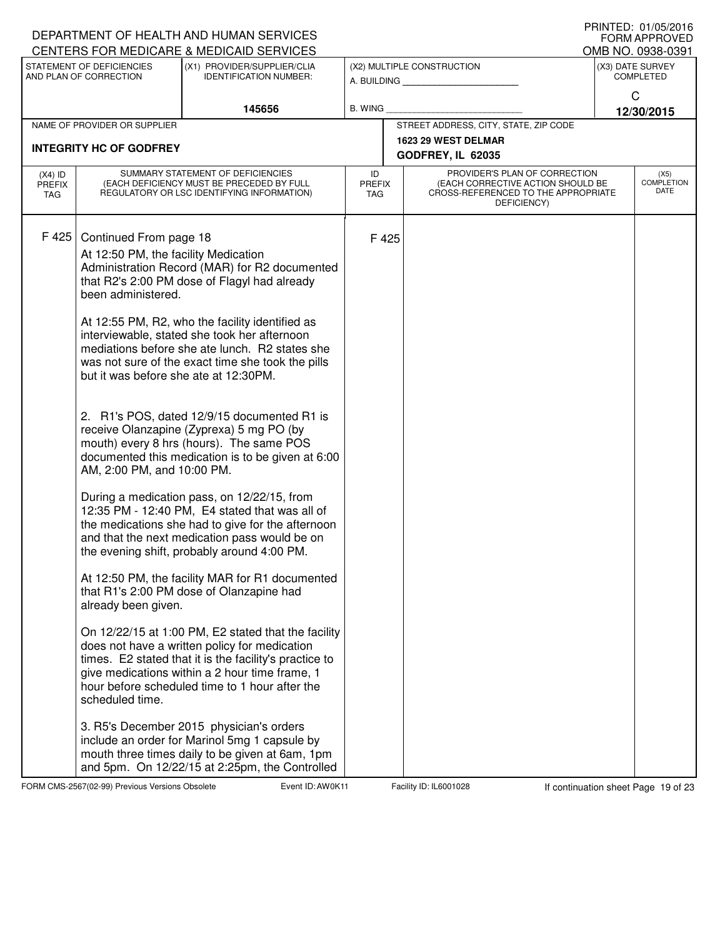|                                   |                                                                                                                                                                                                       | DEPARTMENT OF HEALTH AND HUMAN SERVICES<br>CENTERS FOR MEDICARE & MEDICAID SERVICES                                                                                                                                                                                                                                                                                                                                                                                                                                                                                                                                                                                                                                                                                                                                                                                                                                                                                                                                                                                                                                                                                        |                            |                                                                                                                          | FRINTED. VI/V3/ZVI0<br><b>FORM APPROVED</b><br>OMB NO. 0938-0391 |
|-----------------------------------|-------------------------------------------------------------------------------------------------------------------------------------------------------------------------------------------------------|----------------------------------------------------------------------------------------------------------------------------------------------------------------------------------------------------------------------------------------------------------------------------------------------------------------------------------------------------------------------------------------------------------------------------------------------------------------------------------------------------------------------------------------------------------------------------------------------------------------------------------------------------------------------------------------------------------------------------------------------------------------------------------------------------------------------------------------------------------------------------------------------------------------------------------------------------------------------------------------------------------------------------------------------------------------------------------------------------------------------------------------------------------------------------|----------------------------|--------------------------------------------------------------------------------------------------------------------------|------------------------------------------------------------------|
|                                   | STATEMENT OF DEFICIENCIES<br>AND PLAN OF CORRECTION                                                                                                                                                   | (X1) PROVIDER/SUPPLIER/CLIA<br><b>IDENTIFICATION NUMBER:</b>                                                                                                                                                                                                                                                                                                                                                                                                                                                                                                                                                                                                                                                                                                                                                                                                                                                                                                                                                                                                                                                                                                               |                            | (X2) MULTIPLE CONSTRUCTION<br>A. BUILDING                                                                                | (X3) DATE SURVEY<br><b>COMPLETED</b>                             |
|                                   |                                                                                                                                                                                                       | 145656                                                                                                                                                                                                                                                                                                                                                                                                                                                                                                                                                                                                                                                                                                                                                                                                                                                                                                                                                                                                                                                                                                                                                                     | <b>B. WING</b>             |                                                                                                                          | C<br>12/30/2015                                                  |
|                                   | NAME OF PROVIDER OR SUPPLIER                                                                                                                                                                          |                                                                                                                                                                                                                                                                                                                                                                                                                                                                                                                                                                                                                                                                                                                                                                                                                                                                                                                                                                                                                                                                                                                                                                            |                            | STREET ADDRESS, CITY, STATE, ZIP CODE                                                                                    |                                                                  |
|                                   | <b>INTEGRITY HC OF GODFREY</b>                                                                                                                                                                        |                                                                                                                                                                                                                                                                                                                                                                                                                                                                                                                                                                                                                                                                                                                                                                                                                                                                                                                                                                                                                                                                                                                                                                            |                            | 1623 29 WEST DELMAR<br>GODFREY, IL 62035                                                                                 |                                                                  |
| $(X4)$ ID<br><b>PREFIX</b><br>TAG |                                                                                                                                                                                                       | SUMMARY STATEMENT OF DEFICIENCIES<br>(EACH DEFICIENCY MUST BE PRECEDED BY FULL<br>REGULATORY OR LSC IDENTIFYING INFORMATION)                                                                                                                                                                                                                                                                                                                                                                                                                                                                                                                                                                                                                                                                                                                                                                                                                                                                                                                                                                                                                                               | ID<br><b>PREFIX</b><br>TAG | PROVIDER'S PLAN OF CORRECTION<br>(EACH CORRECTIVE ACTION SHOULD BE<br>CROSS-REFERENCED TO THE APPROPRIATE<br>DEFICIENCY) | (X5)<br><b>COMPLETION</b><br>DATE                                |
| F 425                             | Continued From page 18<br>At 12:50 PM, the facility Medication<br>been administered.<br>but it was before she ate at 12:30PM.<br>AM, 2:00 PM, and 10:00 PM.<br>already been given.<br>scheduled time. | Administration Record (MAR) for R2 documented<br>that R2's 2:00 PM dose of Flagyl had already<br>At 12:55 PM, R2, who the facility identified as<br>interviewable, stated she took her afternoon<br>mediations before she ate lunch. R2 states she<br>was not sure of the exact time she took the pills<br>2. R1's POS, dated 12/9/15 documented R1 is<br>receive Olanzapine (Zyprexa) 5 mg PO (by<br>mouth) every 8 hrs (hours). The same POS<br>documented this medication is to be given at 6:00<br>During a medication pass, on 12/22/15, from<br>12:35 PM - 12:40 PM, E4 stated that was all of<br>the medications she had to give for the afternoon<br>and that the next medication pass would be on<br>the evening shift, probably around 4:00 PM.<br>At 12:50 PM, the facility MAR for R1 documented<br>that R1's 2:00 PM dose of Olanzapine had<br>On 12/22/15 at 1:00 PM, E2 stated that the facility<br>does not have a written policy for medication<br>times. E2 stated that it is the facility's practice to<br>give medications within a 2 hour time frame, 1<br>hour before scheduled time to 1 hour after the<br>3. R5's December 2015 physician's orders | F425                       |                                                                                                                          |                                                                  |
|                                   |                                                                                                                                                                                                       | include an order for Marinol 5mg 1 capsule by<br>mouth three times daily to be given at 6am, 1pm<br>and 5pm. On 12/22/15 at 2:25pm, the Controlled                                                                                                                                                                                                                                                                                                                                                                                                                                                                                                                                                                                                                                                                                                                                                                                                                                                                                                                                                                                                                         |                            |                                                                                                                          |                                                                  |

FORM CMS-2567(02-99) Previous Versions Obsolete **Auch Event ID: AW0K11** Facility ID: IL6001028 If continuation sheet Page 19 of 23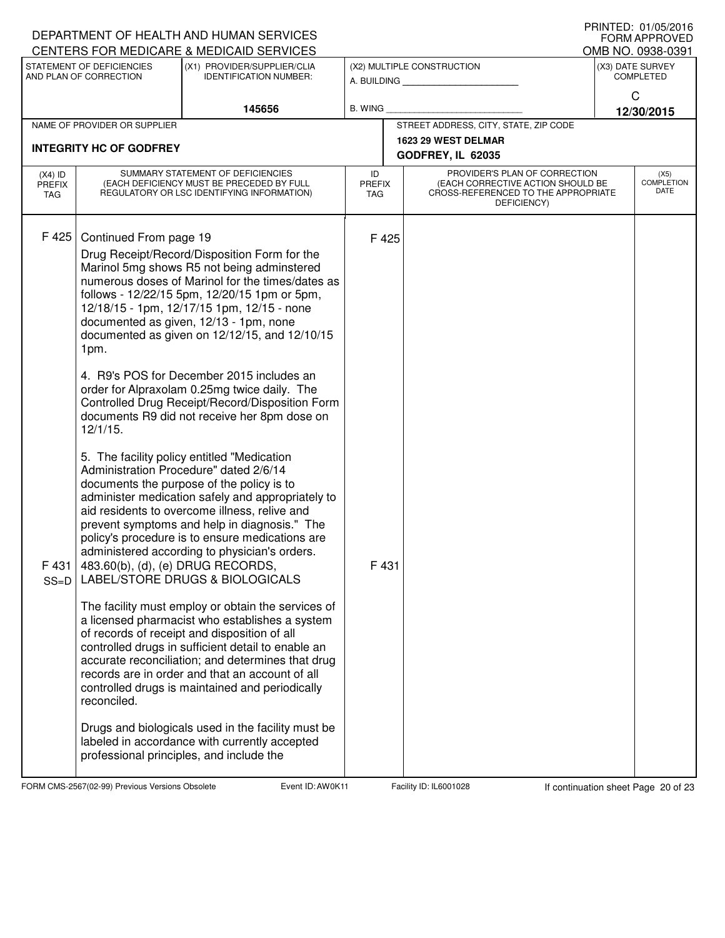| CENTERS FOR MEDICARE & MEDICAID SERVICES<br>OMB NO. 0938-0391<br>STATEMENT OF DEFICIENCIES<br>(X1) PROVIDER/SUPPLIER/CLIA<br>(X2) MULTIPLE CONSTRUCTION<br>(X3) DATE SURVEY<br>AND PLAN OF CORRECTION<br><b>COMPLETED</b><br><b>IDENTIFICATION NUMBER:</b><br>A. BUILDING<br>C<br>145656<br><b>B. WING</b><br>12/30/2015<br>STREET ADDRESS, CITY, STATE, ZIP CODE<br>NAME OF PROVIDER OR SUPPLIER<br>1623 29 WEST DELMAR<br><b>INTEGRITY HC OF GODFREY</b><br>GODFREY, IL 62035<br>PROVIDER'S PLAN OF CORRECTION<br>SUMMARY STATEMENT OF DEFICIENCIES<br>$(X4)$ ID<br>ID<br>(X5)<br><b>COMPLETION</b><br>(EACH DEFICIENCY MUST BE PRECEDED BY FULL<br>(EACH CORRECTIVE ACTION SHOULD BE<br><b>PREFIX</b><br><b>PREFIX</b><br><b>DATE</b><br>CROSS-REFERENCED TO THE APPROPRIATE<br>REGULATORY OR LSC IDENTIFYING INFORMATION)<br><b>TAG</b><br>TAG<br>DEFICIENCY)<br>F 425<br>Continued From page 19<br>F425<br>Drug Receipt/Record/Disposition Form for the<br>Marinol 5mg shows R5 not being adminstered<br>numerous doses of Marinol for the times/dates as<br>follows - 12/22/15 5pm, 12/20/15 1pm or 5pm,<br>12/18/15 - 1pm, 12/17/15 1pm, 12/15 - none<br>documented as given, 12/13 - 1pm, none<br>documented as given on 12/12/15, and 12/10/15<br>1pm.<br>4. R9's POS for December 2015 includes an<br>order for Alpraxolam 0.25mg twice daily. The<br>Controlled Drug Receipt/Record/Disposition Form<br>documents R9 did not receive her 8pm dose on<br>12/1/15.<br>5. The facility policy entitled "Medication<br>Administration Procedure" dated 2/6/14<br>documents the purpose of the policy is to<br>administer medication safely and appropriately to<br>aid residents to overcome illness, relive and<br>prevent symptoms and help in diagnosis." The<br>policy's procedure is to ensure medications are<br>administered according to physician's orders.<br>F 431   483.60(b), (d), (e) DRUG RECORDS,<br>F 431<br>LABEL/STORE DRUGS & BIOLOGICALS<br>$SS=D$<br>The facility must employ or obtain the services of<br>a licensed pharmacist who establishes a system<br>of records of receipt and disposition of all<br>controlled drugs in sufficient detail to enable an<br>accurate reconciliation; and determines that drug<br>records are in order and that an account of all<br>controlled drugs is maintained and periodically<br>reconciled.<br>Drugs and biologicals used in the facility must be |  | DEPARTMENT OF HEALTH AND HUMAN SERVICES |  |  | <b>I INIVILD. VI/VJ/ZVIV</b><br><b>FORM APPROVED</b> |
|------------------------------------------------------------------------------------------------------------------------------------------------------------------------------------------------------------------------------------------------------------------------------------------------------------------------------------------------------------------------------------------------------------------------------------------------------------------------------------------------------------------------------------------------------------------------------------------------------------------------------------------------------------------------------------------------------------------------------------------------------------------------------------------------------------------------------------------------------------------------------------------------------------------------------------------------------------------------------------------------------------------------------------------------------------------------------------------------------------------------------------------------------------------------------------------------------------------------------------------------------------------------------------------------------------------------------------------------------------------------------------------------------------------------------------------------------------------------------------------------------------------------------------------------------------------------------------------------------------------------------------------------------------------------------------------------------------------------------------------------------------------------------------------------------------------------------------------------------------------------------------------------------------------------------------------------------------------------------------------------------------------------------------------------------------------------------------------------------------------------------------------------------------------------------------------------------------------------------------------------------------------------------------------------------------------------------------------------------------------------------------------------------------------------------|--|-----------------------------------------|--|--|------------------------------------------------------|
|                                                                                                                                                                                                                                                                                                                                                                                                                                                                                                                                                                                                                                                                                                                                                                                                                                                                                                                                                                                                                                                                                                                                                                                                                                                                                                                                                                                                                                                                                                                                                                                                                                                                                                                                                                                                                                                                                                                                                                                                                                                                                                                                                                                                                                                                                                                                                                                                                              |  |                                         |  |  |                                                      |
|                                                                                                                                                                                                                                                                                                                                                                                                                                                                                                                                                                                                                                                                                                                                                                                                                                                                                                                                                                                                                                                                                                                                                                                                                                                                                                                                                                                                                                                                                                                                                                                                                                                                                                                                                                                                                                                                                                                                                                                                                                                                                                                                                                                                                                                                                                                                                                                                                              |  |                                         |  |  |                                                      |
|                                                                                                                                                                                                                                                                                                                                                                                                                                                                                                                                                                                                                                                                                                                                                                                                                                                                                                                                                                                                                                                                                                                                                                                                                                                                                                                                                                                                                                                                                                                                                                                                                                                                                                                                                                                                                                                                                                                                                                                                                                                                                                                                                                                                                                                                                                                                                                                                                              |  |                                         |  |  |                                                      |
|                                                                                                                                                                                                                                                                                                                                                                                                                                                                                                                                                                                                                                                                                                                                                                                                                                                                                                                                                                                                                                                                                                                                                                                                                                                                                                                                                                                                                                                                                                                                                                                                                                                                                                                                                                                                                                                                                                                                                                                                                                                                                                                                                                                                                                                                                                                                                                                                                              |  |                                         |  |  |                                                      |
|                                                                                                                                                                                                                                                                                                                                                                                                                                                                                                                                                                                                                                                                                                                                                                                                                                                                                                                                                                                                                                                                                                                                                                                                                                                                                                                                                                                                                                                                                                                                                                                                                                                                                                                                                                                                                                                                                                                                                                                                                                                                                                                                                                                                                                                                                                                                                                                                                              |  |                                         |  |  |                                                      |
|                                                                                                                                                                                                                                                                                                                                                                                                                                                                                                                                                                                                                                                                                                                                                                                                                                                                                                                                                                                                                                                                                                                                                                                                                                                                                                                                                                                                                                                                                                                                                                                                                                                                                                                                                                                                                                                                                                                                                                                                                                                                                                                                                                                                                                                                                                                                                                                                                              |  |                                         |  |  |                                                      |
| labeled in accordance with currently accepted<br>professional principles, and include the                                                                                                                                                                                                                                                                                                                                                                                                                                                                                                                                                                                                                                                                                                                                                                                                                                                                                                                                                                                                                                                                                                                                                                                                                                                                                                                                                                                                                                                                                                                                                                                                                                                                                                                                                                                                                                                                                                                                                                                                                                                                                                                                                                                                                                                                                                                                    |  |                                         |  |  |                                                      |

FORM CMS-2567(02-99) Previous Versions Obsolete **Auch Event ID: AW0K11** Facility ID: IL6001028 If continuation sheet Page 20 of 23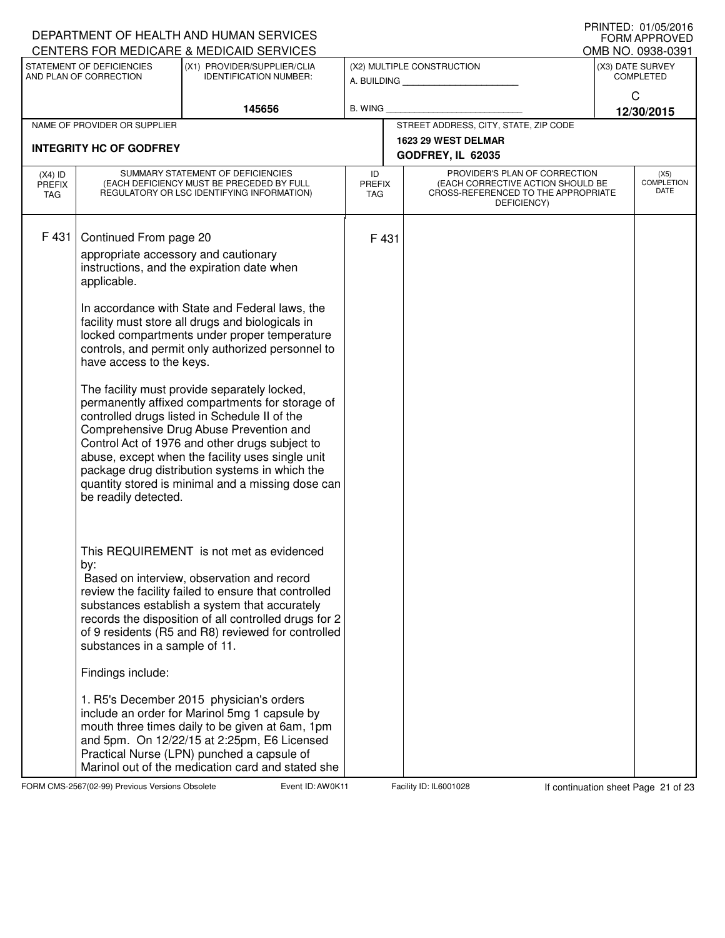|                                          |                                                                                                                                          | DEPARTMENT OF HEALTH AND HUMAN SERVICES                                                                                                                                                                                                                                                                                                                                                                                                                                                                                                                                                                                                                                                                       |                                   |                                                                                                                          | <b>I IUIN LLD. U I/UJ/ZU IU</b><br><b>FORM APPROVED</b> |
|------------------------------------------|------------------------------------------------------------------------------------------------------------------------------------------|---------------------------------------------------------------------------------------------------------------------------------------------------------------------------------------------------------------------------------------------------------------------------------------------------------------------------------------------------------------------------------------------------------------------------------------------------------------------------------------------------------------------------------------------------------------------------------------------------------------------------------------------------------------------------------------------------------------|-----------------------------------|--------------------------------------------------------------------------------------------------------------------------|---------------------------------------------------------|
|                                          | STATEMENT OF DEFICIENCIES                                                                                                                | CENTERS FOR MEDICARE & MEDICAID SERVICES<br>(X1) PROVIDER/SUPPLIER/CLIA                                                                                                                                                                                                                                                                                                                                                                                                                                                                                                                                                                                                                                       |                                   | (X2) MULTIPLE CONSTRUCTION                                                                                               | OMB NO. 0938-0391<br>(X3) DATE SURVEY                   |
|                                          | AND PLAN OF CORRECTION                                                                                                                   | <b>IDENTIFICATION NUMBER:</b>                                                                                                                                                                                                                                                                                                                                                                                                                                                                                                                                                                                                                                                                                 |                                   | A. BUILDING                                                                                                              | <b>COMPLETED</b>                                        |
|                                          |                                                                                                                                          |                                                                                                                                                                                                                                                                                                                                                                                                                                                                                                                                                                                                                                                                                                               |                                   |                                                                                                                          | C                                                       |
|                                          |                                                                                                                                          | 145656                                                                                                                                                                                                                                                                                                                                                                                                                                                                                                                                                                                                                                                                                                        | B. WING                           | STREET ADDRESS, CITY, STATE, ZIP CODE                                                                                    | 12/30/2015                                              |
|                                          | NAME OF PROVIDER OR SUPPLIER                                                                                                             |                                                                                                                                                                                                                                                                                                                                                                                                                                                                                                                                                                                                                                                                                                               |                                   | 1623 29 WEST DELMAR                                                                                                      |                                                         |
|                                          | <b>INTEGRITY HC OF GODFREY</b>                                                                                                           |                                                                                                                                                                                                                                                                                                                                                                                                                                                                                                                                                                                                                                                                                                               |                                   | GODFREY, IL 62035                                                                                                        |                                                         |
| $(X4)$ ID<br><b>PREFIX</b><br><b>TAG</b> |                                                                                                                                          | SUMMARY STATEMENT OF DEFICIENCIES<br>(EACH DEFICIENCY MUST BE PRECEDED BY FULL<br>REGULATORY OR LSC IDENTIFYING INFORMATION)                                                                                                                                                                                                                                                                                                                                                                                                                                                                                                                                                                                  | ID<br><b>PREFIX</b><br><b>TAG</b> | PROVIDER'S PLAN OF CORRECTION<br>(EACH CORRECTIVE ACTION SHOULD BE<br>CROSS-REFERENCED TO THE APPROPRIATE<br>DEFICIENCY) | (X5)<br><b>COMPLETION</b><br>DATE                       |
| F 431                                    | Continued From page 20<br>appropriate accessory and cautionary<br>applicable.<br>have access to the keys.<br>be readily detected.<br>by: | instructions, and the expiration date when<br>In accordance with State and Federal laws, the<br>facility must store all drugs and biologicals in<br>locked compartments under proper temperature<br>controls, and permit only authorized personnel to<br>The facility must provide separately locked,<br>permanently affixed compartments for storage of<br>controlled drugs listed in Schedule II of the<br>Comprehensive Drug Abuse Prevention and<br>Control Act of 1976 and other drugs subject to<br>abuse, except when the facility uses single unit<br>package drug distribution systems in which the<br>quantity stored is minimal and a missing dose can<br>This REQUIREMENT is not met as evidenced | F 431                             |                                                                                                                          |                                                         |
|                                          | substances in a sample of 11.                                                                                                            | Based on interview, observation and record<br>review the facility failed to ensure that controlled<br>substances establish a system that accurately<br>records the disposition of all controlled drugs for 2<br>of 9 residents (R5 and R8) reviewed for controlled                                                                                                                                                                                                                                                                                                                                                                                                                                            |                                   |                                                                                                                          |                                                         |
|                                          | Findings include:                                                                                                                        |                                                                                                                                                                                                                                                                                                                                                                                                                                                                                                                                                                                                                                                                                                               |                                   |                                                                                                                          |                                                         |
|                                          |                                                                                                                                          | 1. R5's December 2015 physician's orders<br>include an order for Marinol 5mg 1 capsule by<br>mouth three times daily to be given at 6am, 1pm<br>and 5pm. On 12/22/15 at 2:25pm, E6 Licensed<br>Practical Nurse (LPN) punched a capsule of<br>Marinol out of the medication card and stated she                                                                                                                                                                                                                                                                                                                                                                                                                |                                   |                                                                                                                          |                                                         |

FORM CMS-2567(02-99) Previous Versions Obsolete **Auch Event ID: AW0K11** Facility ID: IL6001028 If continuation sheet Page 21 of 23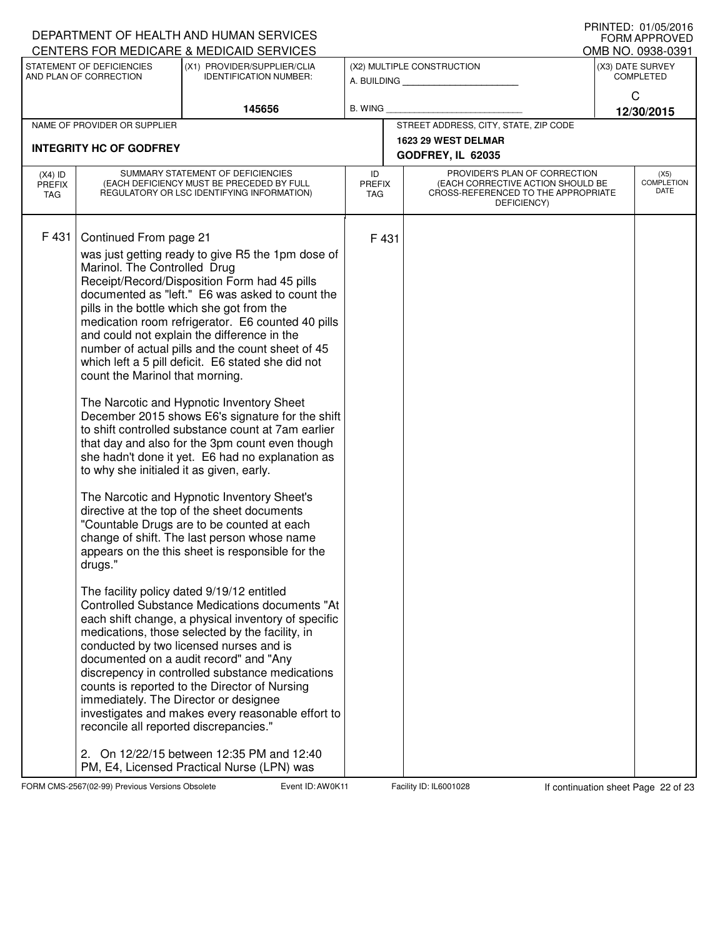|                                   |                                                                                                                                                                                                                                     | DEPARTMENT OF HEALTH AND HUMAN SERVICES                                                                                                                                                                                                                                                                                                                                                                                                                                                                                                                                                                                                                                                                                                                                                                                                                                                                                                                                                                                                                                                                                                                                                                                                                                                                                                                                               |                                   |                                                                                                                          | <b>I INIVILD. VI/VJ/ZVIV</b><br><b>FORM APPROVED</b> |
|-----------------------------------|-------------------------------------------------------------------------------------------------------------------------------------------------------------------------------------------------------------------------------------|---------------------------------------------------------------------------------------------------------------------------------------------------------------------------------------------------------------------------------------------------------------------------------------------------------------------------------------------------------------------------------------------------------------------------------------------------------------------------------------------------------------------------------------------------------------------------------------------------------------------------------------------------------------------------------------------------------------------------------------------------------------------------------------------------------------------------------------------------------------------------------------------------------------------------------------------------------------------------------------------------------------------------------------------------------------------------------------------------------------------------------------------------------------------------------------------------------------------------------------------------------------------------------------------------------------------------------------------------------------------------------------|-----------------------------------|--------------------------------------------------------------------------------------------------------------------------|------------------------------------------------------|
|                                   | STATEMENT OF DEFICIENCIES                                                                                                                                                                                                           | CENTERS FOR MEDICARE & MEDICAID SERVICES<br>(X1) PROVIDER/SUPPLIER/CLIA                                                                                                                                                                                                                                                                                                                                                                                                                                                                                                                                                                                                                                                                                                                                                                                                                                                                                                                                                                                                                                                                                                                                                                                                                                                                                                               |                                   |                                                                                                                          | OMB NO. 0938-0391<br>(X3) DATE SURVEY                |
|                                   | AND PLAN OF CORRECTION                                                                                                                                                                                                              | <b>IDENTIFICATION NUMBER:</b>                                                                                                                                                                                                                                                                                                                                                                                                                                                                                                                                                                                                                                                                                                                                                                                                                                                                                                                                                                                                                                                                                                                                                                                                                                                                                                                                                         |                                   | (X2) MULTIPLE CONSTRUCTION                                                                                               | <b>COMPLETED</b>                                     |
|                                   |                                                                                                                                                                                                                                     |                                                                                                                                                                                                                                                                                                                                                                                                                                                                                                                                                                                                                                                                                                                                                                                                                                                                                                                                                                                                                                                                                                                                                                                                                                                                                                                                                                                       |                                   |                                                                                                                          | C                                                    |
|                                   |                                                                                                                                                                                                                                     | 145656                                                                                                                                                                                                                                                                                                                                                                                                                                                                                                                                                                                                                                                                                                                                                                                                                                                                                                                                                                                                                                                                                                                                                                                                                                                                                                                                                                                | B. WING                           |                                                                                                                          | 12/30/2015                                           |
|                                   | NAME OF PROVIDER OR SUPPLIER                                                                                                                                                                                                        |                                                                                                                                                                                                                                                                                                                                                                                                                                                                                                                                                                                                                                                                                                                                                                                                                                                                                                                                                                                                                                                                                                                                                                                                                                                                                                                                                                                       |                                   | STREET ADDRESS, CITY, STATE, ZIP CODE                                                                                    |                                                      |
|                                   | <b>INTEGRITY HC OF GODFREY</b>                                                                                                                                                                                                      |                                                                                                                                                                                                                                                                                                                                                                                                                                                                                                                                                                                                                                                                                                                                                                                                                                                                                                                                                                                                                                                                                                                                                                                                                                                                                                                                                                                       |                                   | 1623 29 WEST DELMAR                                                                                                      |                                                      |
|                                   |                                                                                                                                                                                                                                     |                                                                                                                                                                                                                                                                                                                                                                                                                                                                                                                                                                                                                                                                                                                                                                                                                                                                                                                                                                                                                                                                                                                                                                                                                                                                                                                                                                                       |                                   | GODFREY, IL 62035                                                                                                        |                                                      |
| $(X4)$ ID<br><b>PREFIX</b><br>TAG |                                                                                                                                                                                                                                     | SUMMARY STATEMENT OF DEFICIENCIES<br>(EACH DEFICIENCY MUST BE PRECEDED BY FULL<br>REGULATORY OR LSC IDENTIFYING INFORMATION)                                                                                                                                                                                                                                                                                                                                                                                                                                                                                                                                                                                                                                                                                                                                                                                                                                                                                                                                                                                                                                                                                                                                                                                                                                                          | ID<br><b>PREFIX</b><br><b>TAG</b> | PROVIDER'S PLAN OF CORRECTION<br>(EACH CORRECTIVE ACTION SHOULD BE<br>CROSS-REFERENCED TO THE APPROPRIATE<br>DEFICIENCY) | (X5)<br><b>COMPLETION</b><br>DATE                    |
| F 431                             | Continued From page 21<br>Marinol. The Controlled Drug<br>count the Marinol that morning.<br>to why she initialed it as given, early.<br>drugs."<br>immediately. The Director or designee<br>reconcile all reported discrepancies." | was just getting ready to give R5 the 1pm dose of<br>Receipt/Record/Disposition Form had 45 pills<br>documented as "left." E6 was asked to count the<br>pills in the bottle which she got from the<br>medication room refrigerator. E6 counted 40 pills<br>and could not explain the difference in the<br>number of actual pills and the count sheet of 45<br>which left a 5 pill deficit. E6 stated she did not<br>The Narcotic and Hypnotic Inventory Sheet<br>December 2015 shows E6's signature for the shift<br>to shift controlled substance count at 7am earlier<br>that day and also for the 3pm count even though<br>she hadn't done it yet. E6 had no explanation as<br>The Narcotic and Hypnotic Inventory Sheet's<br>directive at the top of the sheet documents<br>"Countable Drugs are to be counted at each<br>change of shift. The last person whose name<br>appears on the this sheet is responsible for the<br>The facility policy dated 9/19/12 entitled<br>Controlled Substance Medications documents "At<br>each shift change, a physical inventory of specific<br>medications, those selected by the facility, in<br>conducted by two licensed nurses and is<br>documented on a audit record" and "Any<br>discrepency in controlled substance medications<br>counts is reported to the Director of Nursing<br>investigates and makes every reasonable effort to | F 431                             |                                                                                                                          |                                                      |
|                                   |                                                                                                                                                                                                                                     | 2. On 12/22/15 between 12:35 PM and 12:40<br>PM, E4, Licensed Practical Nurse (LPN) was                                                                                                                                                                                                                                                                                                                                                                                                                                                                                                                                                                                                                                                                                                                                                                                                                                                                                                                                                                                                                                                                                                                                                                                                                                                                                               |                                   |                                                                                                                          |                                                      |

FORM CMS-2567(02-99) Previous Versions Obsolete **AUD: AWOK Event ID: AW0K11** Facility ID: IL6001028 If continuation sheet Page 22 of 23